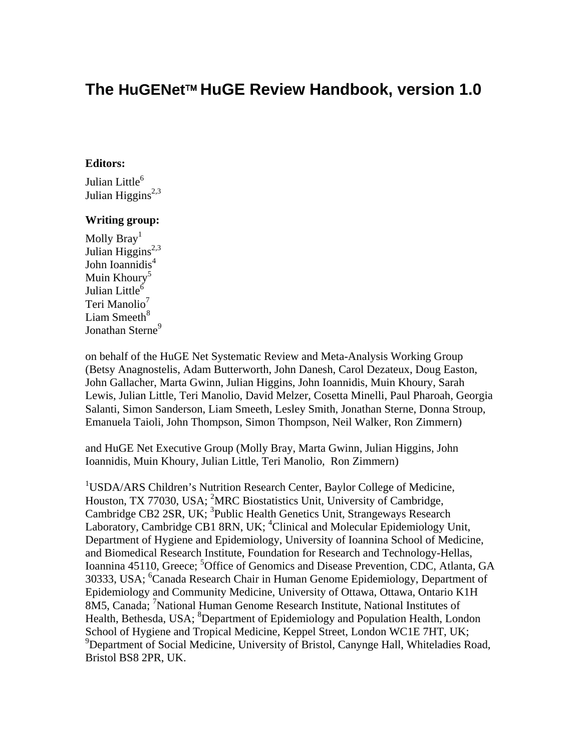# **The HuGENet**™ **HuGE Review Handbook, version 1.0**

#### **Editors:**

Julian Little<sup>6</sup> Julian Higgins<sup>2,3</sup>

#### **Writing group:**

Molly Bray<sup>1</sup> Julian Higgins<sup>2,3</sup> John Ioannidis<sup>4</sup> Muin Khoury<sup>5</sup> Julian Little<sup>6</sup> Teri Manolio<sup>7</sup> Liam Smeeth $8$ Jonathan Sterne<sup>9</sup>

on behalf of the HuGE Net Systematic Review and Meta-Analysis Working Group (Betsy Anagnostelis, Adam Butterworth, John Danesh, Carol Dezateux, Doug Easton, John Gallacher, Marta Gwinn, Julian Higgins, John Ioannidis, Muin Khoury, Sarah Lewis, Julian Little, Teri Manolio, David Melzer, Cosetta Minelli, Paul Pharoah, Georgia Salanti, Simon Sanderson, Liam Smeeth, Lesley Smith, Jonathan Sterne, Donna Stroup, Emanuela Taioli, John Thompson, Simon Thompson, Neil Walker, Ron Zimmern)

and HuGE Net Executive Group (Molly Bray, Marta Gwinn, Julian Higgins, John Ioannidis, Muin Khoury, Julian Little, Teri Manolio, Ron Zimmern)

<sup>1</sup>USDA/ARS Children's Nutrition Research Center, Baylor College of Medicine, Houston, TX 77030, USA; <sup>2</sup>MRC Biostatistics Unit, University of Cambridge, Cambridge CB2 2SR, UK; <sup>3</sup>Public Health Genetics Unit, Strangeways Research Laboratory, Cambridge CB1 8RN, UK; <sup>4</sup>Clinical and Molecular Epidemiology Unit, Department of Hygiene and Epidemiology, University of Ioannina School of Medicine, and Biomedical Research Institute, Foundation for Research and Technology-Hellas, Ioannina 45110, Greece; <sup>5</sup>Office of Genomics and Disease Prevention, CDC, Atlanta, GA 30333, USA; <sup>6</sup>Canada Research Chair in Human Genome Epidemiology, Department of Epidemiology and Community Medicine, University of Ottawa, Ottawa, Ontario K1H 8M5, Canada; <sup>7</sup>National Human Genome Research Institute, National Institutes of Health, Bethesda, USA; <sup>8</sup>Department of Epidemiology and Population Health, London School of Hygiene and Tropical Medicine, Keppel Street, London WC1E 7HT, UK; <sup>9</sup>Department of Social Medicine, University of Bristol, Canynge Hall, Whiteladies Road, Bristol BS8 2PR, UK.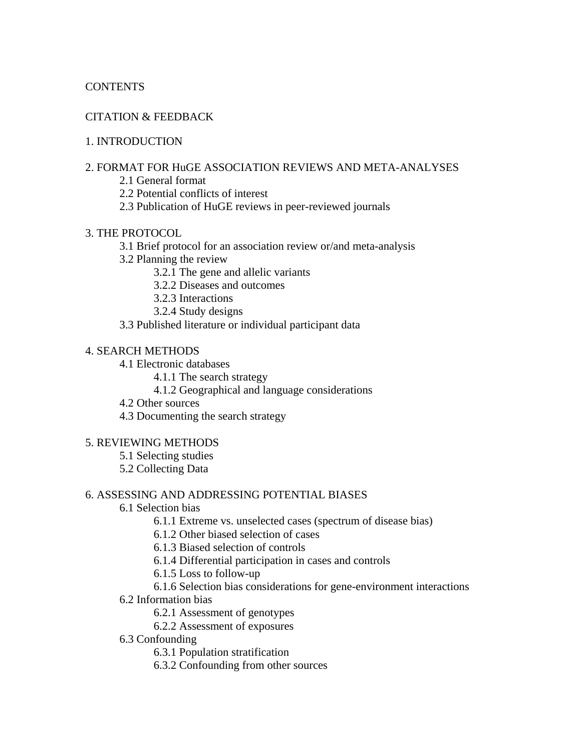### **CONTENTS**

### CITATION & FEEDBACK

### 1. INTRODUCTION

### 2. FORMAT FOR HuGE ASSOCIATION REVIEWS AND META-ANALYSES

- 2.1 General format
- 2.2 Potential conflicts of interest
- 2.3 Publication of HuGE reviews in peer-reviewed journals

### 3. THE PROTOCOL

- 3.1 Brief protocol for an association review or/and meta-analysis
- 3.2 Planning the review
	- 3.2.1 The gene and allelic variants
	- 3.2.2 Diseases and outcomes
	- 3.2.3 Interactions
	- 3.2.4 Study designs
- 3.3 Published literature or individual participant data

### 4. SEARCH METHODS

- 4.1 Electronic databases
	- 4.1.1 The search strategy
	- 4.1.2 Geographical and language considerations
- 4.2 Other sources
- 4.3 Documenting the search strategy

#### 5. REVIEWING METHODS

- 5.1 Selecting studies
- 5.2 Collecting Data

#### 6. ASSESSING AND ADDRESSING POTENTIAL BIASES

- 6.1 Selection bias
	- 6.1.1 Extreme vs. unselected cases (spectrum of disease bias)
	- 6.1.2 Other biased selection of cases
	- 6.1.3 Biased selection of controls
	- 6.1.4 Differential participation in cases and controls
	- 6.1.5 Loss to follow-up
	- 6.1.6 Selection bias considerations for gene-environment interactions
- 6.2 Information bias
	- 6.2.1 Assessment of genotypes
	- 6.2.2 Assessment of exposures
- 6.3 Confounding
	- 6.3.1 Population stratification
	- 6.3.2 Confounding from other sources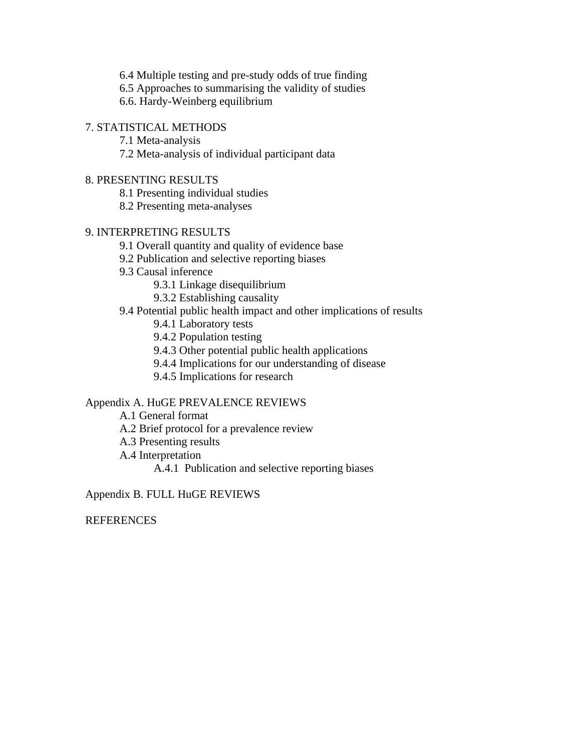6.4 Multiple testing and pre-study odds of true finding

6.5 Approaches to summarising the validity of studies

6.6. Hardy-Weinberg equilibrium

### 7. STATISTICAL METHODS

7.1 Meta-analysis

7.2 Meta-analysis of individual participant data

### 8. PRESENTING RESULTS

8.1 Presenting individual studies

8.2 Presenting meta-analyses

### 9. INTERPRETING RESULTS

- 9.1 Overall quantity and quality of evidence base
- 9.2 Publication and selective reporting biases
- 9.3 Causal inference
	- 9.3.1 Linkage disequilibrium
	- 9.3.2 Establishing causality

### 9.4 Potential public health impact and other implications of results

- 9.4.1 Laboratory tests
- 9.4.2 Population testing
- 9.4.3 Other potential public health applications
- 9.4.4 Implications for our understanding of disease
- 9.4.5 Implications for research

### Appendix A. HuGE PREVALENCE REVIEWS

- A.1 General format
- A.2 Brief protocol for a prevalence review
- A.3 Presenting results
- A.4 Interpretation
	- A.4.1 Publication and selective reporting biases

Appendix B. FULL HuGE REVIEWS

REFERENCES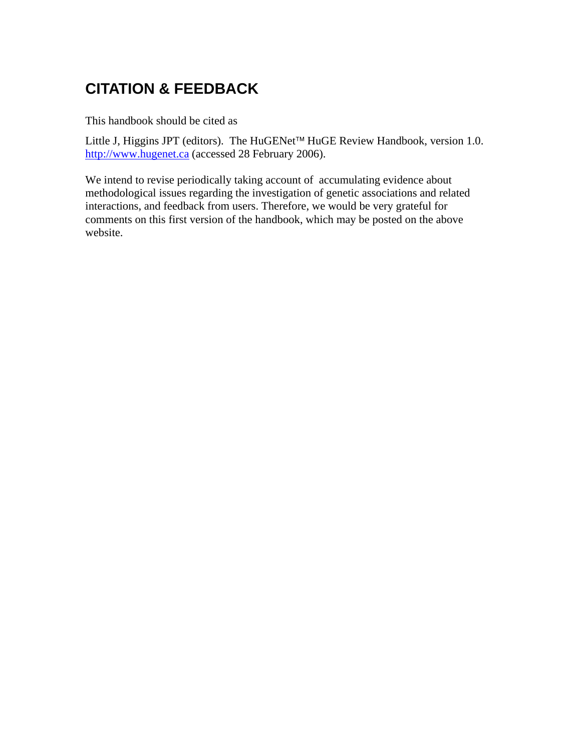# **CITATION & FEEDBACK**

This handbook should be cited as

Little J, Higgins JPT (editors). The HuGENet™ HuGE Review Handbook, version 1.0. http://www.hugenet.ca (accessed 28 February 2006).

We intend to revise periodically taking account of accumulating evidence about methodological issues regarding the investigation of genetic associations and related interactions, and feedback from users. Therefore, we would be very grateful for comments on this first version of the handbook, which may be posted on the above website.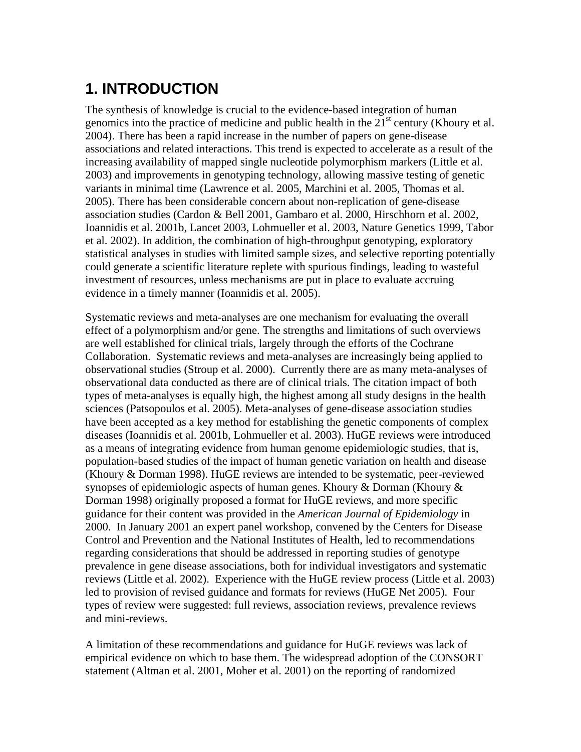# **1. INTRODUCTION**

The synthesis of knowledge is crucial to the evidence-based integration of human genomics into the practice of medicine and public health in the  $21<sup>st</sup>$  century (Khoury et al. 2004). There has been a rapid increase in the number of papers on gene-disease associations and related interactions. This trend is expected to accelerate as a result of the increasing availability of mapped single nucleotide polymorphism markers (Little et al. 2003) and improvements in genotyping technology, allowing massive testing of genetic variants in minimal time (Lawrence et al. 2005, Marchini et al. 2005, Thomas et al. 2005). There has been considerable concern about non-replication of gene-disease association studies (Cardon & Bell 2001, Gambaro et al. 2000, Hirschhorn et al. 2002, Ioannidis et al. 2001b, Lancet 2003, Lohmueller et al. 2003, Nature Genetics 1999, Tabor et al. 2002). In addition, the combination of high-throughput genotyping, exploratory statistical analyses in studies with limited sample sizes, and selective reporting potentially could generate a scientific literature replete with spurious findings, leading to wasteful investment of resources, unless mechanisms are put in place to evaluate accruing evidence in a timely manner (Ioannidis et al. 2005).

Systematic reviews and meta-analyses are one mechanism for evaluating the overall effect of a polymorphism and/or gene. The strengths and limitations of such overviews are well established for clinical trials, largely through the efforts of the Cochrane Collaboration. Systematic reviews and meta-analyses are increasingly being applied to observational studies (Stroup et al. 2000). Currently there are as many meta-analyses of observational data conducted as there are of clinical trials. The citation impact of both types of meta-analyses is equally high, the highest among all study designs in the health sciences (Patsopoulos et al. 2005). Meta-analyses of gene-disease association studies have been accepted as a key method for establishing the genetic components of complex diseases (Ioannidis et al. 2001b, Lohmueller et al. 2003). HuGE reviews were introduced as a means of integrating evidence from human genome epidemiologic studies, that is, population-based studies of the impact of human genetic variation on health and disease (Khoury & Dorman 1998). HuGE reviews are intended to be systematic, peer-reviewed synopses of epidemiologic aspects of human genes. Khoury  $\&$  Dorman (Khoury  $\&$ Dorman 1998) originally proposed a format for HuGE reviews, and more specific guidance for their content was provided in the *American Journal of Epidemiology* in 2000. In January 2001 an expert panel workshop, convened by the Centers for Disease Control and Prevention and the National Institutes of Health, led to recommendations regarding considerations that should be addressed in reporting studies of genotype prevalence in gene disease associations, both for individual investigators and systematic reviews (Little et al. 2002). Experience with the HuGE review process (Little et al. 2003) led to provision of revised guidance and formats for reviews (HuGE Net 2005). Four types of review were suggested: full reviews, association reviews, prevalence reviews and mini-reviews.

A limitation of these recommendations and guidance for HuGE reviews was lack of empirical evidence on which to base them. The widespread adoption of the CONSORT statement (Altman et al. 2001, Moher et al. 2001) on the reporting of randomized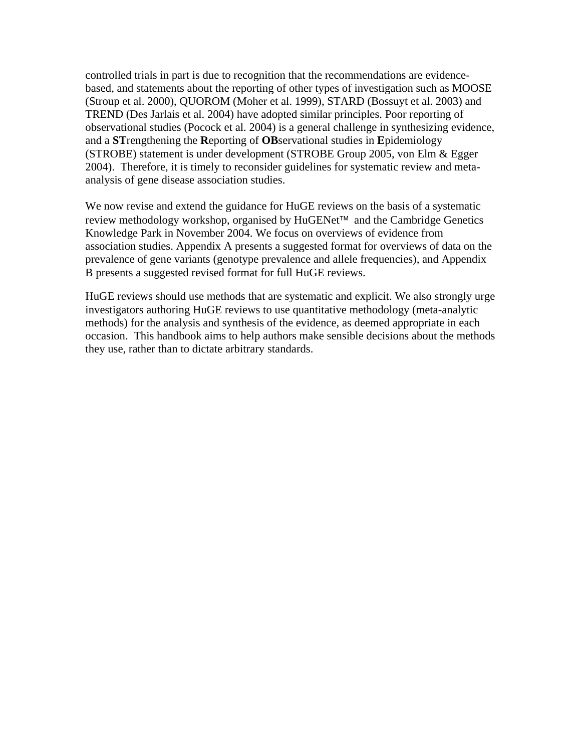controlled trials in part is due to recognition that the recommendations are evidencebased, and statements about the reporting of other types of investigation such as MOOSE (Stroup et al. 2000), QUOROM (Moher et al. 1999), STARD (Bossuyt et al. 2003) and TREND (Des Jarlais et al. 2004) have adopted similar principles. Poor reporting of observational studies (Pocock et al. 2004) is a general challenge in synthesizing evidence, and a **ST**rengthening the **R**eporting of **OB**servational studies in **E**pidemiology (STROBE) statement is under development (STROBE Group 2005, von Elm & Egger 2004). Therefore, it is timely to reconsider guidelines for systematic review and metaanalysis of gene disease association studies.

We now revise and extend the guidance for HuGE reviews on the basis of a systematic review methodology workshop, organised by HuGENet™ and the Cambridge Genetics Knowledge Park in November 2004. We focus on overviews of evidence from association studies. Appendix A presents a suggested format for overviews of data on the prevalence of gene variants (genotype prevalence and allele frequencies), and Appendix B presents a suggested revised format for full HuGE reviews.

HuGE reviews should use methods that are systematic and explicit. We also strongly urge investigators authoring HuGE reviews to use quantitative methodology (meta-analytic methods) for the analysis and synthesis of the evidence, as deemed appropriate in each occasion. This handbook aims to help authors make sensible decisions about the methods they use, rather than to dictate arbitrary standards.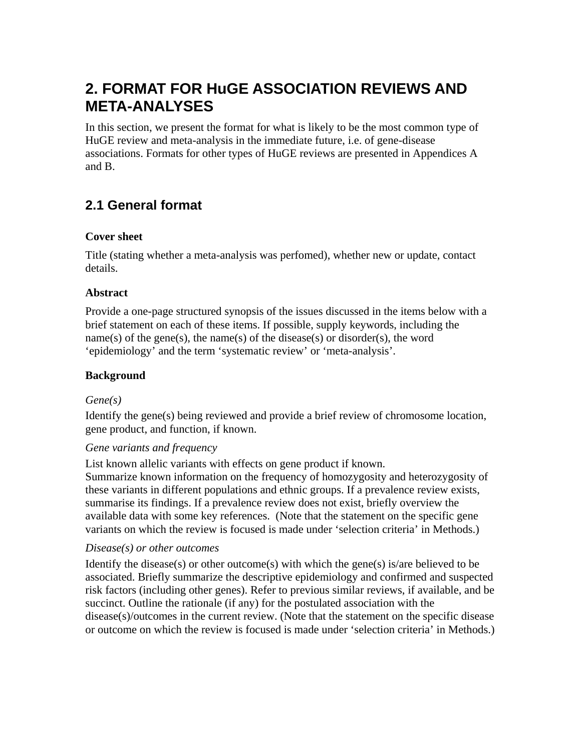# **2. FORMAT FOR HuGE ASSOCIATION REVIEWS AND META-ANALYSES**

In this section, we present the format for what is likely to be the most common type of HuGE review and meta-analysis in the immediate future, i.e. of gene-disease associations. Formats for other types of HuGE reviews are presented in Appendices A and B.

# **2.1 General format**

### **Cover sheet**

Title (stating whether a meta-analysis was perfomed), whether new or update, contact details.

### **Abstract**

Provide a one-page structured synopsis of the issues discussed in the items below with a brief statement on each of these items. If possible, supply keywords, including the name(s) of the gene(s), the name(s) of the disease(s) or disorder(s), the word 'epidemiology' and the term 'systematic review' or 'meta-analysis'.

### **Background**

### *Gene(s)*

Identify the gene(s) being reviewed and provide a brief review of chromosome location, gene product, and function, if known.

### *Gene variants and frequency*

List known allelic variants with effects on gene product if known.

Summarize known information on the frequency of homozygosity and heterozygosity of these variants in different populations and ethnic groups. If a prevalence review exists, summarise its findings. If a prevalence review does not exist, briefly overview the available data with some key references. (Note that the statement on the specific gene variants on which the review is focused is made under 'selection criteria' in Methods.)

### *Disease(s) or other outcomes*

Identify the disease(s) or other outcome(s) with which the gene(s) is/are believed to be associated. Briefly summarize the descriptive epidemiology and confirmed and suspected risk factors (including other genes). Refer to previous similar reviews, if available, and be succinct. Outline the rationale (if any) for the postulated association with the disease(s)/outcomes in the current review. (Note that the statement on the specific disease or outcome on which the review is focused is made under 'selection criteria' in Methods.)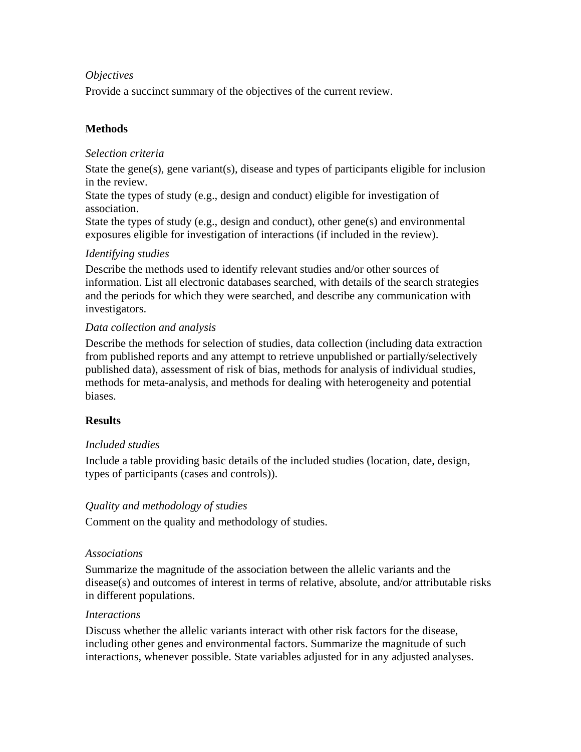### *Objectives*

Provide a succinct summary of the objectives of the current review.

### **Methods**

### *Selection criteria*

State the gene(s), gene variant(s), disease and types of participants eligible for inclusion in the review.

State the types of study (e.g., design and conduct) eligible for investigation of association.

State the types of study (e.g., design and conduct), other gene(s) and environmental exposures eligible for investigation of interactions (if included in the review).

### *Identifying studies*

Describe the methods used to identify relevant studies and/or other sources of information. List all electronic databases searched, with details of the search strategies and the periods for which they were searched, and describe any communication with investigators.

### *Data collection and analysis*

Describe the methods for selection of studies, data collection (including data extraction from published reports and any attempt to retrieve unpublished or partially/selectively published data), assessment of risk of bias, methods for analysis of individual studies, methods for meta-analysis, and methods for dealing with heterogeneity and potential biases.

### **Results**

### *Included studies*

Include a table providing basic details of the included studies (location, date, design, types of participants (cases and controls)).

### *Quality and methodology of studies*

Comment on the quality and methodology of studies.

### *Associations*

Summarize the magnitude of the association between the allelic variants and the disease(s) and outcomes of interest in terms of relative, absolute, and/or attributable risks in different populations.

### *Interactions*

Discuss whether the allelic variants interact with other risk factors for the disease, including other genes and environmental factors. Summarize the magnitude of such interactions, whenever possible. State variables adjusted for in any adjusted analyses.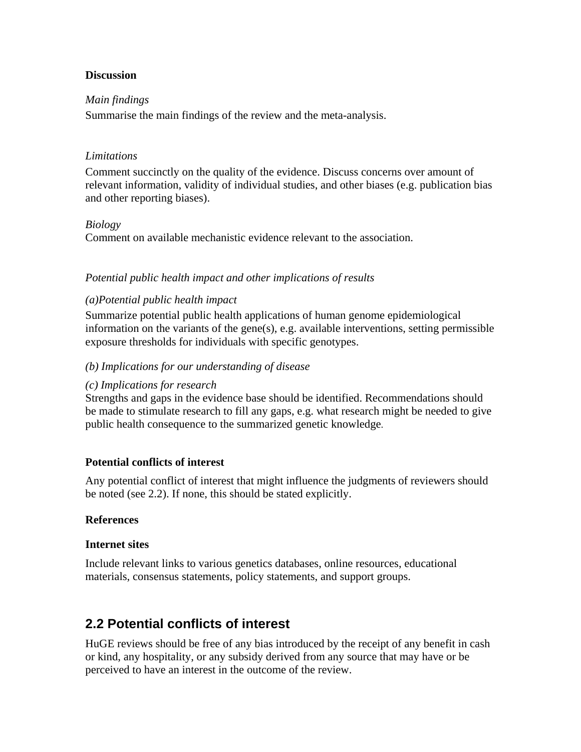### **Discussion**

#### *Main findings*

Summarise the main findings of the review and the meta-analysis.

#### *Limitations*

Comment succinctly on the quality of the evidence. Discuss concerns over amount of relevant information, validity of individual studies, and other biases (e.g. publication bias and other reporting biases).

#### *Biology*

Comment on available mechanistic evidence relevant to the association.

### *Potential public health impact and other implications of results*

### *(a)Potential public health impact*

Summarize potential public health applications of human genome epidemiological information on the variants of the gene(s), e.g. available interventions, setting permissible exposure thresholds for individuals with specific genotypes.

#### *(b) Implications for our understanding of disease*

#### *(c) Implications for research*

Strengths and gaps in the evidence base should be identified. Recommendations should be made to stimulate research to fill any gaps, e.g. what research might be needed to give public health consequence to the summarized genetic knowledge.

### **Potential conflicts of interest**

Any potential conflict of interest that might influence the judgments of reviewers should be noted (see 2.2). If none, this should be stated explicitly.

### **References**

#### **Internet sites**

Include relevant links to various genetics databases, online resources, educational materials, consensus statements, policy statements, and support groups.

## **2.2 Potential conflicts of interest**

HuGE reviews should be free of any bias introduced by the receipt of any benefit in cash or kind, any hospitality, or any subsidy derived from any source that may have or be perceived to have an interest in the outcome of the review.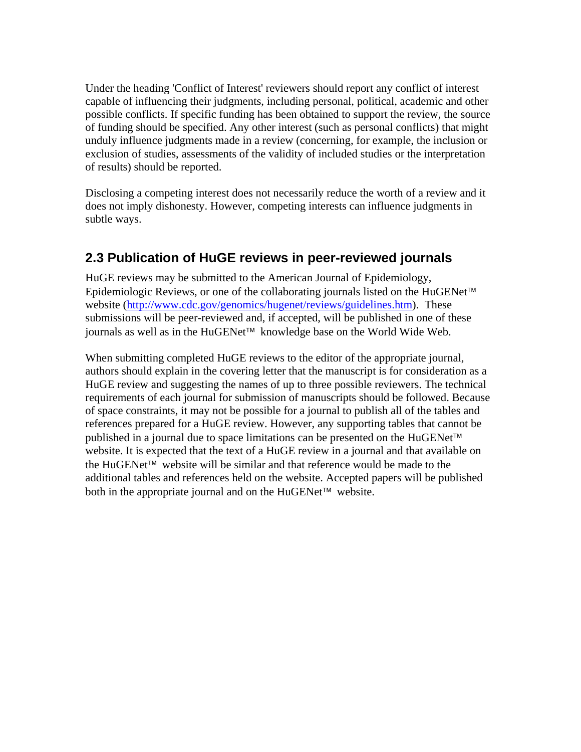Under the heading 'Conflict of Interest' reviewers should report any conflict of interest capable of influencing their judgments, including personal, political, academic and other possible conflicts. If specific funding has been obtained to support the review, the source of funding should be specified. Any other interest (such as personal conflicts) that might unduly influence judgments made in a review (concerning, for example, the inclusion or exclusion of studies, assessments of the validity of included studies or the interpretation of results) should be reported.

Disclosing a competing interest does not necessarily reduce the worth of a review and it does not imply dishonesty. However, competing interests can influence judgments in subtle ways.

# **2.3 Publication of HuGE reviews in peer-reviewed journals**

HuGE reviews may be submitted to the American Journal of Epidemiology, Epidemiologic Reviews, or one of the collaborating journals listed on the HuGENet™ website (http://www.cdc.gov/genomics/hugenet/reviews/guidelines.htm). These submissions will be peer-reviewed and, if accepted, will be published in one of these journals as well as in the HuGENet™ knowledge base on the World Wide Web.

When submitting completed HuGE reviews to the editor of the appropriate journal, authors should explain in the covering letter that the manuscript is for consideration as a HuGE review and suggesting the names of up to three possible reviewers. The technical requirements of each journal for submission of manuscripts should be followed. Because of space constraints, it may not be possible for a journal to publish all of the tables and references prepared for a HuGE review. However, any supporting tables that cannot be published in a journal due to space limitations can be presented on the HuGENet™ website. It is expected that the text of a HuGE review in a journal and that available on the HuGENet™ website will be similar and that reference would be made to the additional tables and references held on the website. Accepted papers will be published both in the appropriate journal and on the HuGENet™ website.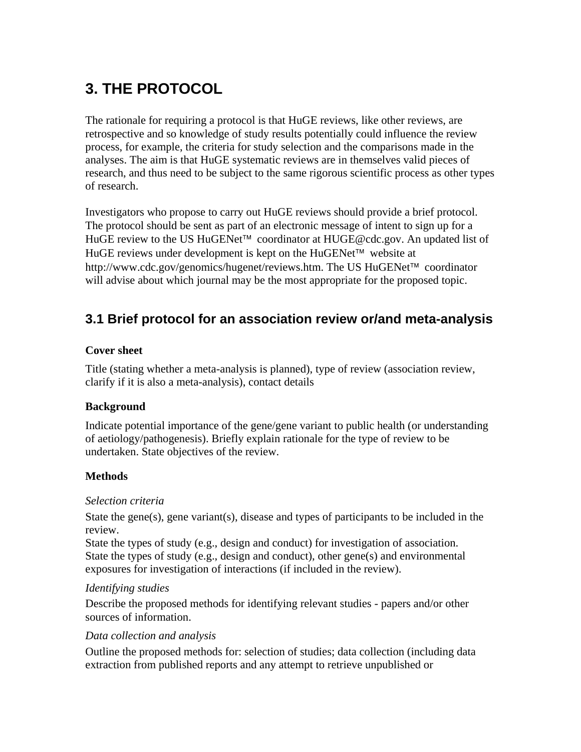# **3. THE PROTOCOL**

The rationale for requiring a protocol is that HuGE reviews, like other reviews, are retrospective and so knowledge of study results potentially could influence the review process, for example, the criteria for study selection and the comparisons made in the analyses. The aim is that HuGE systematic reviews are in themselves valid pieces of research, and thus need to be subject to the same rigorous scientific process as other types of research.

Investigators who propose to carry out HuGE reviews should provide a brief protocol. The protocol should be sent as part of an electronic message of intent to sign up for a HuGE review to the US HuGENet™ coordinator at HUGE@cdc.gov. An updated list of HuGE reviews under development is kept on the HuGENet™ website at http://www.cdc.gov/genomics/hugenet/reviews.htm. The US HuGENet™ coordinator will advise about which journal may be the most appropriate for the proposed topic.

# **3.1 Brief protocol for an association review or/and meta-analysis**

### **Cover sheet**

Title (stating whether a meta-analysis is planned), type of review (association review, clarify if it is also a meta-analysis), contact details

### **Background**

Indicate potential importance of the gene/gene variant to public health (or understanding of aetiology/pathogenesis). Briefly explain rationale for the type of review to be undertaken. State objectives of the review.

### **Methods**

### *Selection criteria*

State the gene(s), gene variant(s), disease and types of participants to be included in the review.

State the types of study (e.g., design and conduct) for investigation of association. State the types of study (e.g., design and conduct), other gene(s) and environmental exposures for investigation of interactions (if included in the review).

### *Identifying studies*

Describe the proposed methods for identifying relevant studies - papers and/or other sources of information.

### *Data collection and analysis*

Outline the proposed methods for: selection of studies; data collection (including data extraction from published reports and any attempt to retrieve unpublished or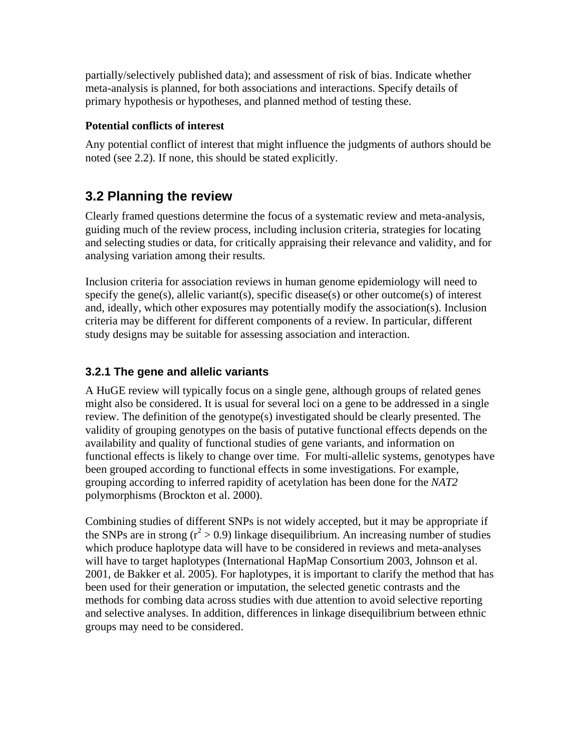partially/selectively published data); and assessment of risk of bias. Indicate whether meta-analysis is planned, for both associations and interactions. Specify details of primary hypothesis or hypotheses, and planned method of testing these.

### **Potential conflicts of interest**

Any potential conflict of interest that might influence the judgments of authors should be noted (see 2.2). If none, this should be stated explicitly.

## **3.2 Planning the review**

Clearly framed questions determine the focus of a systematic review and meta-analysis, guiding much of the review process, including inclusion criteria, strategies for locating and selecting studies or data, for critically appraising their relevance and validity, and for analysing variation among their results.

Inclusion criteria for association reviews in human genome epidemiology will need to specify the gene(s), allelic variant(s), specific disease(s) or other outcome(s) of interest and, ideally, which other exposures may potentially modify the association(s). Inclusion criteria may be different for different components of a review. In particular, different study designs may be suitable for assessing association and interaction.

### **3.2.1 The gene and allelic variants**

A HuGE review will typically focus on a single gene, although groups of related genes might also be considered. It is usual for several loci on a gene to be addressed in a single review. The definition of the genotype(s) investigated should be clearly presented. The validity of grouping genotypes on the basis of putative functional effects depends on the availability and quality of functional studies of gene variants, and information on functional effects is likely to change over time. For multi-allelic systems, genotypes have been grouped according to functional effects in some investigations. For example, grouping according to inferred rapidity of acetylation has been done for the *NAT2*  polymorphisms (Brockton et al. 2000).

Combining studies of different SNPs is not widely accepted, but it may be appropriate if the SNPs are in strong  $(r^2 > 0.9)$  linkage disequilibrium. An increasing number of studies which produce haplotype data will have to be considered in reviews and meta-analyses will have to target haplotypes (International HapMap Consortium 2003, Johnson et al. 2001, de Bakker et al. 2005). For haplotypes, it is important to clarify the method that has been used for their generation or imputation, the selected genetic contrasts and the methods for combing data across studies with due attention to avoid selective reporting and selective analyses. In addition, differences in linkage disequilibrium between ethnic groups may need to be considered.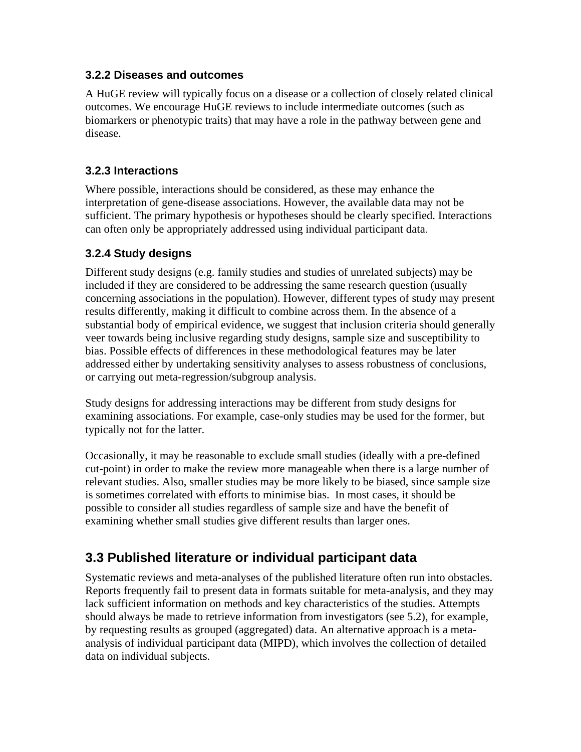### **3.2.2 Diseases and outcomes**

A HuGE review will typically focus on a disease or a collection of closely related clinical outcomes. We encourage HuGE reviews to include intermediate outcomes (such as biomarkers or phenotypic traits) that may have a role in the pathway between gene and disease.

### **3.2.3 Interactions**

Where possible, interactions should be considered, as these may enhance the interpretation of gene-disease associations. However, the available data may not be sufficient. The primary hypothesis or hypotheses should be clearly specified. Interactions can often only be appropriately addressed using individual participant data.

### **3.2.4 Study designs**

Different study designs (e.g. family studies and studies of unrelated subjects) may be included if they are considered to be addressing the same research question (usually concerning associations in the population). However, different types of study may present results differently, making it difficult to combine across them. In the absence of a substantial body of empirical evidence, we suggest that inclusion criteria should generally veer towards being inclusive regarding study designs, sample size and susceptibility to bias. Possible effects of differences in these methodological features may be later addressed either by undertaking sensitivity analyses to assess robustness of conclusions, or carrying out meta-regression/subgroup analysis.

Study designs for addressing interactions may be different from study designs for examining associations. For example, case-only studies may be used for the former, but typically not for the latter.

Occasionally, it may be reasonable to exclude small studies (ideally with a pre-defined cut-point) in order to make the review more manageable when there is a large number of relevant studies. Also, smaller studies may be more likely to be biased, since sample size is sometimes correlated with efforts to minimise bias. In most cases, it should be possible to consider all studies regardless of sample size and have the benefit of examining whether small studies give different results than larger ones.

# **3.3 Published literature or individual participant data**

Systematic reviews and meta-analyses of the published literature often run into obstacles. Reports frequently fail to present data in formats suitable for meta-analysis, and they may lack sufficient information on methods and key characteristics of the studies. Attempts should always be made to retrieve information from investigators (see 5.2), for example, by requesting results as grouped (aggregated) data. An alternative approach is a metaanalysis of individual participant data (MIPD), which involves the collection of detailed data on individual subjects.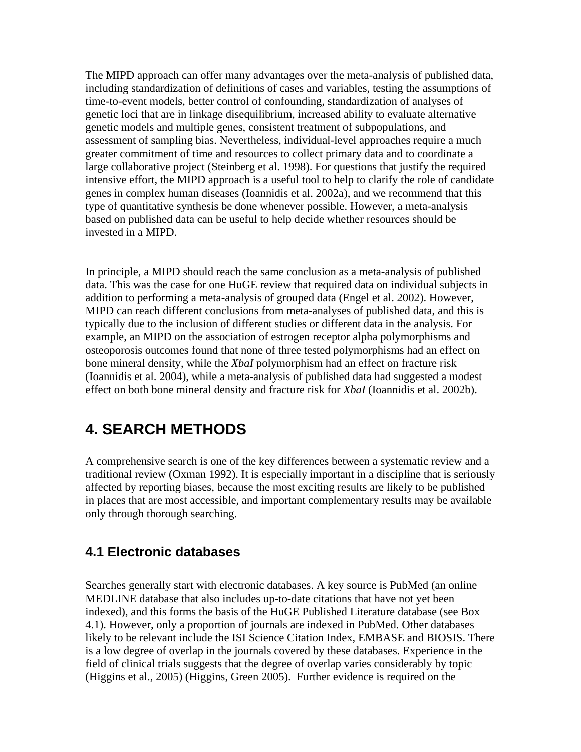The MIPD approach can offer many advantages over the meta-analysis of published data, including standardization of definitions of cases and variables, testing the assumptions of time-to-event models, better control of confounding, standardization of analyses of genetic loci that are in linkage disequilibrium, increased ability to evaluate alternative genetic models and multiple genes, consistent treatment of subpopulations, and assessment of sampling bias. Nevertheless, individual-level approaches require a much greater commitment of time and resources to collect primary data and to coordinate a large collaborative project (Steinberg et al. 1998). For questions that justify the required intensive effort, the MIPD approach is a useful tool to help to clarify the role of candidate genes in complex human diseases (Ioannidis et al. 2002a), and we recommend that this type of quantitative synthesis be done whenever possible. However, a meta-analysis based on published data can be useful to help decide whether resources should be invested in a MIPD.

In principle, a MIPD should reach the same conclusion as a meta-analysis of published data. This was the case for one HuGE review that required data on individual subjects in addition to performing a meta-analysis of grouped data (Engel et al. 2002). However, MIPD can reach different conclusions from meta-analyses of published data, and this is typically due to the inclusion of different studies or different data in the analysis. For example, an MIPD on the association of estrogen receptor alpha polymorphisms and osteoporosis outcomes found that none of three tested polymorphisms had an effect on bone mineral density, while the *XbaI* polymorphism had an effect on fracture risk (Ioannidis et al. 2004), while a meta-analysis of published data had suggested a modest effect on both bone mineral density and fracture risk for *XbaI* (Ioannidis et al. 2002b).

# **4. SEARCH METHODS**

A comprehensive search is one of the key differences between a systematic review and a traditional review (Oxman 1992). It is especially important in a discipline that is seriously affected by reporting biases, because the most exciting results are likely to be published in places that are most accessible, and important complementary results may be available only through thorough searching.

# **4.1 Electronic databases**

Searches generally start with electronic databases. A key source is PubMed (an online MEDLINE database that also includes up-to-date citations that have not yet been indexed), and this forms the basis of the HuGE Published Literature database (see Box 4.1). However, only a proportion of journals are indexed in PubMed. Other databases likely to be relevant include the ISI Science Citation Index, EMBASE and BIOSIS. There is a low degree of overlap in the journals covered by these databases. Experience in the field of clinical trials suggests that the degree of overlap varies considerably by topic (Higgins et al., 2005) (Higgins, Green 2005). Further evidence is required on the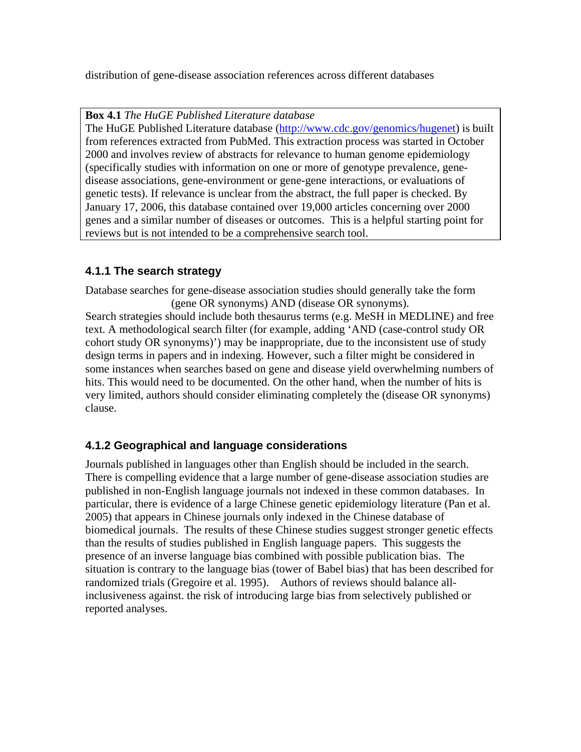distribution of gene-disease association references across different databases

**Box 4.1** *The HuGE Published Literature database*

The HuGE Published Literature database (http://www.cdc.gov/genomics/hugenet) is built from references extracted from PubMed. This extraction process was started in October 2000 and involves review of abstracts for relevance to human genome epidemiology (specifically studies with information on one or more of genotype prevalence, genedisease associations, gene-environment or gene-gene interactions, or evaluations of genetic tests). If relevance is unclear from the abstract, the full paper is checked. By January 17, 2006, this database contained over 19,000 articles concerning over 2000 genes and a similar number of diseases or outcomes. This is a helpful starting point for reviews but is not intended to be a comprehensive search tool.

### **4.1.1 The search strategy**

Database searches for gene-disease association studies should generally take the form (gene OR synonyms) AND (disease OR synonyms). Search strategies should include both thesaurus terms (e.g. MeSH in MEDLINE) and free text. A methodological search filter (for example, adding 'AND (case-control study OR cohort study OR synonyms)') may be inappropriate, due to the inconsistent use of study design terms in papers and in indexing. However, such a filter might be considered in some instances when searches based on gene and disease yield overwhelming numbers of hits. This would need to be documented. On the other hand, when the number of hits is

very limited, authors should consider eliminating completely the (disease OR synonyms) clause.

### **4.1.2 Geographical and language considerations**

Journals published in languages other than English should be included in the search. There is compelling evidence that a large number of gene-disease association studies are published in non-English language journals not indexed in these common databases. In particular, there is evidence of a large Chinese genetic epidemiology literature (Pan et al. 2005) that appears in Chinese journals only indexed in the Chinese database of biomedical journals. The results of these Chinese studies suggest stronger genetic effects than the results of studies published in English language papers. This suggests the presence of an inverse language bias combined with possible publication bias. The situation is contrary to the language bias (tower of Babel bias) that has been described for randomized trials (Gregoire et al. 1995). Authors of reviews should balance allinclusiveness against. the risk of introducing large bias from selectively published or reported analyses.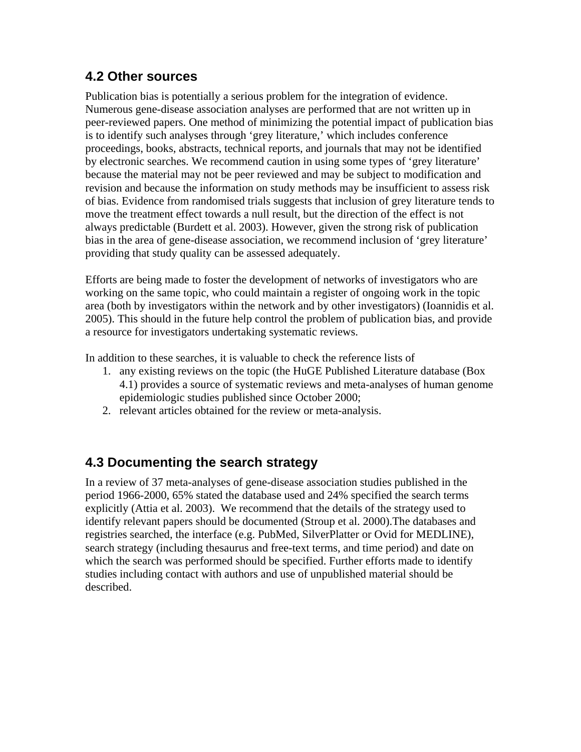# **4.2 Other sources**

Publication bias is potentially a serious problem for the integration of evidence. Numerous gene-disease association analyses are performed that are not written up in peer-reviewed papers. One method of minimizing the potential impact of publication bias is to identify such analyses through 'grey literature,' which includes conference proceedings, books, abstracts, technical reports, and journals that may not be identified by electronic searches. We recommend caution in using some types of 'grey literature' because the material may not be peer reviewed and may be subject to modification and revision and because the information on study methods may be insufficient to assess risk of bias. Evidence from randomised trials suggests that inclusion of grey literature tends to move the treatment effect towards a null result, but the direction of the effect is not always predictable (Burdett et al. 2003). However, given the strong risk of publication bias in the area of gene-disease association, we recommend inclusion of 'grey literature' providing that study quality can be assessed adequately.

Efforts are being made to foster the development of networks of investigators who are working on the same topic, who could maintain a register of ongoing work in the topic area (both by investigators within the network and by other investigators) (Ioannidis et al. 2005). This should in the future help control the problem of publication bias, and provide a resource for investigators undertaking systematic reviews.

In addition to these searches, it is valuable to check the reference lists of

- 1. any existing reviews on the topic (the HuGE Published Literature database (Box 4.1) provides a source of systematic reviews and meta-analyses of human genome epidemiologic studies published since October 2000;
- 2. relevant articles obtained for the review or meta-analysis.

# **4.3 Documenting the search strategy**

In a review of 37 meta-analyses of gene-disease association studies published in the period 1966-2000, 65% stated the database used and 24% specified the search terms explicitly (Attia et al. 2003). We recommend that the details of the strategy used to identify relevant papers should be documented (Stroup et al. 2000).The databases and registries searched, the interface (e.g. PubMed, SilverPlatter or Ovid for MEDLINE), search strategy (including thesaurus and free-text terms, and time period) and date on which the search was performed should be specified. Further efforts made to identify studies including contact with authors and use of unpublished material should be described.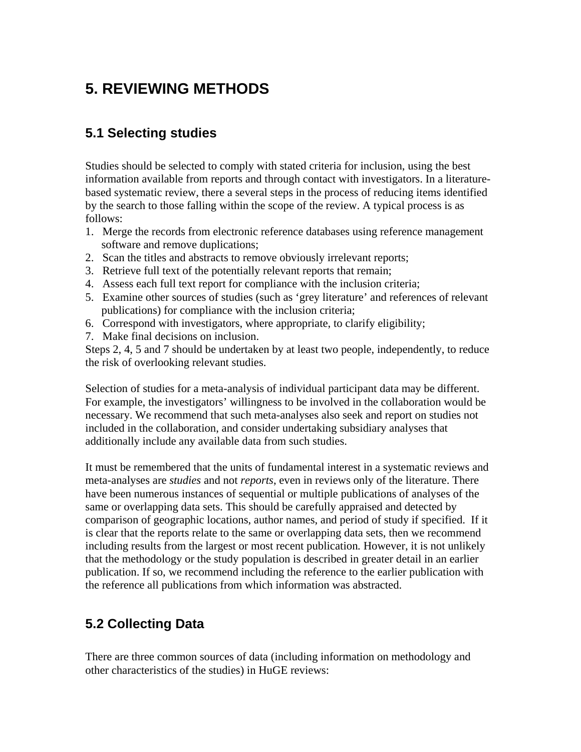# **5. REVIEWING METHODS**

# **5.1 Selecting studies**

Studies should be selected to comply with stated criteria for inclusion, using the best information available from reports and through contact with investigators. In a literaturebased systematic review, there a several steps in the process of reducing items identified by the search to those falling within the scope of the review. A typical process is as follows:

- 1. Merge the records from electronic reference databases using reference management software and remove duplications;
- 2. Scan the titles and abstracts to remove obviously irrelevant reports;
- 3. Retrieve full text of the potentially relevant reports that remain;
- 4. Assess each full text report for compliance with the inclusion criteria;
- 5. Examine other sources of studies (such as 'grey literature' and references of relevant publications) for compliance with the inclusion criteria;
- 6. Correspond with investigators, where appropriate, to clarify eligibility;
- 7. Make final decisions on inclusion.

Steps 2, 4, 5 and 7 should be undertaken by at least two people, independently, to reduce the risk of overlooking relevant studies.

Selection of studies for a meta-analysis of individual participant data may be different. For example, the investigators' willingness to be involved in the collaboration would be necessary. We recommend that such meta-analyses also seek and report on studies not included in the collaboration, and consider undertaking subsidiary analyses that additionally include any available data from such studies.

It must be remembered that the units of fundamental interest in a systematic reviews and meta-analyses are *studies* and not *reports*, even in reviews only of the literature. There have been numerous instances of sequential or multiple publications of analyses of the same or overlapping data sets. This should be carefully appraised and detected by comparison of geographic locations, author names, and period of study if specified. If it is clear that the reports relate to the same or overlapping data sets, then we recommend including results from the largest or most recent publication*.* However, it is not unlikely that the methodology or the study population is described in greater detail in an earlier publication. If so, we recommend including the reference to the earlier publication with the reference all publications from which information was abstracted.

# **5.2 Collecting Data**

There are three common sources of data (including information on methodology and other characteristics of the studies) in HuGE reviews: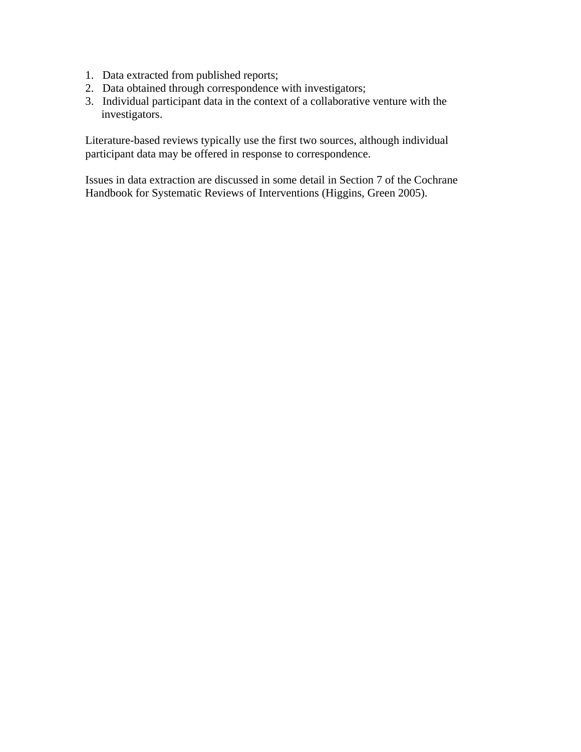- 1. Data extracted from published reports;
- 2. Data obtained through correspondence with investigators;
- 3. Individual participant data in the context of a collaborative venture with the investigators.

Literature-based reviews typically use the first two sources, although individual participant data may be offered in response to correspondence.

Issues in data extraction are discussed in some detail in Section 7 of the Cochrane Handbook for Systematic Reviews of Interventions (Higgins, Green 2005).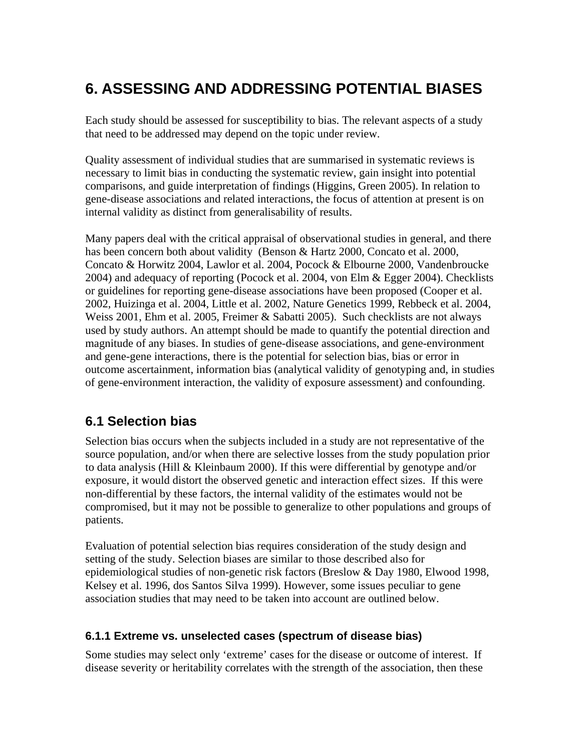# **6. ASSESSING AND ADDRESSING POTENTIAL BIASES**

Each study should be assessed for susceptibility to bias. The relevant aspects of a study that need to be addressed may depend on the topic under review.

Quality assessment of individual studies that are summarised in systematic reviews is necessary to limit bias in conducting the systematic review, gain insight into potential comparisons, and guide interpretation of findings (Higgins, Green 2005). In relation to gene-disease associations and related interactions, the focus of attention at present is on internal validity as distinct from generalisability of results.

Many papers deal with the critical appraisal of observational studies in general, and there has been concern both about validity (Benson & Hartz 2000, Concato et al. 2000, Concato & Horwitz 2004, Lawlor et al. 2004, Pocock & Elbourne 2000, Vandenbroucke 2004) and adequacy of reporting (Pocock et al. 2004, von Elm & Egger 2004). Checklists or guidelines for reporting gene-disease associations have been proposed (Cooper et al. 2002, Huizinga et al. 2004, Little et al. 2002, Nature Genetics 1999, Rebbeck et al. 2004, Weiss 2001, Ehm et al. 2005, Freimer & Sabatti 2005). Such checklists are not always used by study authors. An attempt should be made to quantify the potential direction and magnitude of any biases. In studies of gene-disease associations, and gene-environment and gene-gene interactions, there is the potential for selection bias, bias or error in outcome ascertainment, information bias (analytical validity of genotyping and, in studies of gene-environment interaction, the validity of exposure assessment) and confounding.

# **6.1 Selection bias**

Selection bias occurs when the subjects included in a study are not representative of the source population, and/or when there are selective losses from the study population prior to data analysis (Hill & Kleinbaum 2000). If this were differential by genotype and/or exposure, it would distort the observed genetic and interaction effect sizes. If this were non-differential by these factors, the internal validity of the estimates would not be compromised, but it may not be possible to generalize to other populations and groups of patients.

Evaluation of potential selection bias requires consideration of the study design and setting of the study. Selection biases are similar to those described also for epidemiological studies of non-genetic risk factors (Breslow & Day 1980, Elwood 1998, Kelsey et al. 1996, dos Santos Silva 1999). However, some issues peculiar to gene association studies that may need to be taken into account are outlined below.

### **6.1.1 Extreme vs. unselected cases (spectrum of disease bias)**

Some studies may select only 'extreme' cases for the disease or outcome of interest. If disease severity or heritability correlates with the strength of the association, then these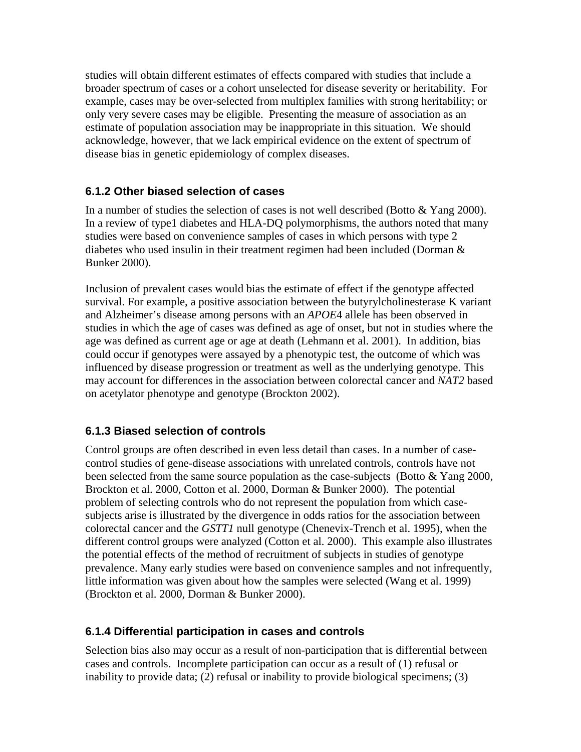studies will obtain different estimates of effects compared with studies that include a broader spectrum of cases or a cohort unselected for disease severity or heritability. For example, cases may be over-selected from multiplex families with strong heritability; or only very severe cases may be eligible. Presenting the measure of association as an estimate of population association may be inappropriate in this situation. We should acknowledge, however, that we lack empirical evidence on the extent of spectrum of disease bias in genetic epidemiology of complex diseases.

### **6.1.2 Other biased selection of cases**

In a number of studies the selection of cases is not well described (Botto  $&$  Yang 2000). In a review of type1 diabetes and HLA-DQ polymorphisms, the authors noted that many studies were based on convenience samples of cases in which persons with type 2 diabetes who used insulin in their treatment regimen had been included (Dorman & Bunker 2000).

Inclusion of prevalent cases would bias the estimate of effect if the genotype affected survival. For example, a positive association between the butyrylcholinesterase K variant and Alzheimer's disease among persons with an *APOE*4 allele has been observed in studies in which the age of cases was defined as age of onset, but not in studies where the age was defined as current age or age at death (Lehmann et al. 2001). In addition, bias could occur if genotypes were assayed by a phenotypic test, the outcome of which was influenced by disease progression or treatment as well as the underlying genotype. This may account for differences in the association between colorectal cancer and *NAT2* based on acetylator phenotype and genotype (Brockton 2002).

### **6.1.3 Biased selection of controls**

Control groups are often described in even less detail than cases. In a number of casecontrol studies of gene-disease associations with unrelated controls, controls have not been selected from the same source population as the case-subjects (Botto & Yang 2000, Brockton et al. 2000, Cotton et al. 2000, Dorman & Bunker 2000). The potential problem of selecting controls who do not represent the population from which casesubjects arise is illustrated by the divergence in odds ratios for the association between colorectal cancer and the *GSTT1* null genotype (Chenevix-Trench et al. 1995), when the different control groups were analyzed (Cotton et al. 2000). This example also illustrates the potential effects of the method of recruitment of subjects in studies of genotype prevalence. Many early studies were based on convenience samples and not infrequently, little information was given about how the samples were selected (Wang et al. 1999) (Brockton et al. 2000, Dorman & Bunker 2000).

### **6.1.4 Differential participation in cases and controls**

Selection bias also may occur as a result of non-participation that is differential between cases and controls. Incomplete participation can occur as a result of (1) refusal or inability to provide data; (2) refusal or inability to provide biological specimens; (3)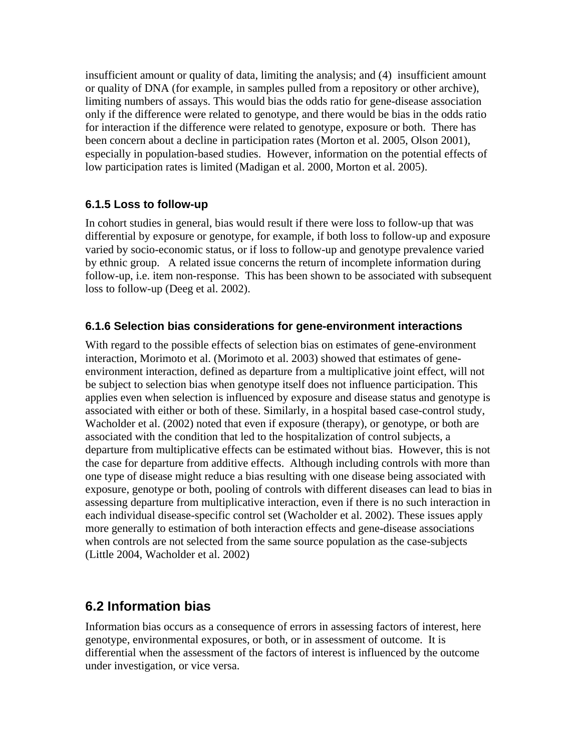insufficient amount or quality of data, limiting the analysis; and (4) insufficient amount or quality of DNA (for example, in samples pulled from a repository or other archive), limiting numbers of assays. This would bias the odds ratio for gene-disease association only if the difference were related to genotype, and there would be bias in the odds ratio for interaction if the difference were related to genotype, exposure or both. There has been concern about a decline in participation rates (Morton et al. 2005, Olson 2001), especially in population-based studies. However, information on the potential effects of low participation rates is limited (Madigan et al. 2000, Morton et al. 2005).

### **6.1.5 Loss to follow-up**

In cohort studies in general, bias would result if there were loss to follow-up that was differential by exposure or genotype, for example, if both loss to follow-up and exposure varied by socio-economic status, or if loss to follow-up and genotype prevalence varied by ethnic group. A related issue concerns the return of incomplete information during follow-up, i.e. item non-response. This has been shown to be associated with subsequent loss to follow-up (Deeg et al. 2002).

### **6.1.6 Selection bias considerations for gene-environment interactions**

With regard to the possible effects of selection bias on estimates of gene-environment interaction, Morimoto et al. (Morimoto et al. 2003) showed that estimates of geneenvironment interaction, defined as departure from a multiplicative joint effect, will not be subject to selection bias when genotype itself does not influence participation. This applies even when selection is influenced by exposure and disease status and genotype is associated with either or both of these. Similarly, in a hospital based case-control study, Wacholder et al. (2002) noted that even if exposure (therapy), or genotype, or both are associated with the condition that led to the hospitalization of control subjects, a departure from multiplicative effects can be estimated without bias. However, this is not the case for departure from additive effects. Although including controls with more than one type of disease might reduce a bias resulting with one disease being associated with exposure, genotype or both, pooling of controls with different diseases can lead to bias in assessing departure from multiplicative interaction, even if there is no such interaction in each individual disease-specific control set (Wacholder et al. 2002). These issues apply more generally to estimation of both interaction effects and gene-disease associations when controls are not selected from the same source population as the case-subjects (Little 2004, Wacholder et al. 2002)

## **6.2 Information bias**

Information bias occurs as a consequence of errors in assessing factors of interest, here genotype, environmental exposures, or both, or in assessment of outcome. It is differential when the assessment of the factors of interest is influenced by the outcome under investigation, or vice versa.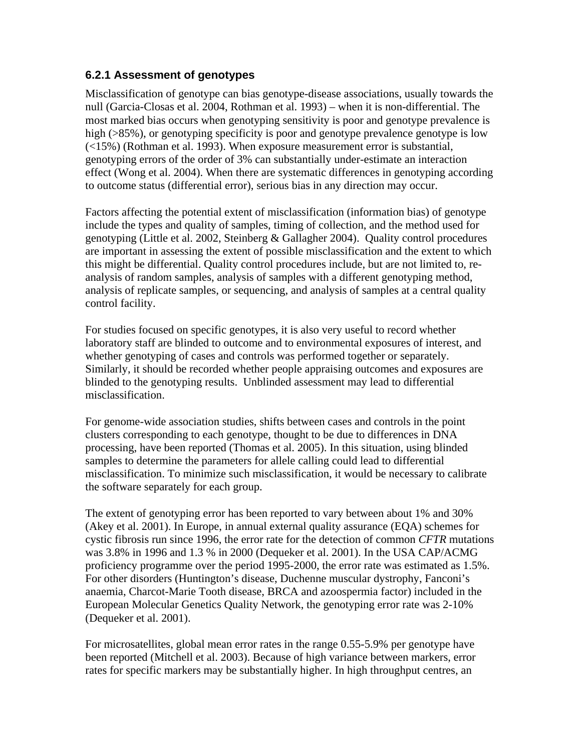### **6.2.1 Assessment of genotypes**

Misclassification of genotype can bias genotype-disease associations, usually towards the null (Garcia-Closas et al. 2004, Rothman et al. 1993) – when it is non-differential. The most marked bias occurs when genotyping sensitivity is poor and genotype prevalence is high ( $>85\%$ ), or genotyping specificity is poor and genotype prevalence genotype is low (<15%) (Rothman et al. 1993). When exposure measurement error is substantial, genotyping errors of the order of 3% can substantially under-estimate an interaction effect (Wong et al. 2004). When there are systematic differences in genotyping according to outcome status (differential error), serious bias in any direction may occur.

Factors affecting the potential extent of misclassification (information bias) of genotype include the types and quality of samples, timing of collection, and the method used for genotyping (Little et al. 2002, Steinberg & Gallagher 2004). Quality control procedures are important in assessing the extent of possible misclassification and the extent to which this might be differential. Quality control procedures include, but are not limited to, reanalysis of random samples, analysis of samples with a different genotyping method, analysis of replicate samples, or sequencing, and analysis of samples at a central quality control facility.

For studies focused on specific genotypes, it is also very useful to record whether laboratory staff are blinded to outcome and to environmental exposures of interest, and whether genotyping of cases and controls was performed together or separately. Similarly, it should be recorded whether people appraising outcomes and exposures are blinded to the genotyping results. Unblinded assessment may lead to differential misclassification.

For genome-wide association studies, shifts between cases and controls in the point clusters corresponding to each genotype, thought to be due to differences in DNA processing, have been reported (Thomas et al. 2005). In this situation, using blinded samples to determine the parameters for allele calling could lead to differential misclassification. To minimize such misclassification, it would be necessary to calibrate the software separately for each group.

The extent of genotyping error has been reported to vary between about 1% and 30% (Akey et al. 2001). In Europe, in annual external quality assurance (EQA) schemes for cystic fibrosis run since 1996, the error rate for the detection of common *CFTR* mutations was 3.8% in 1996 and 1.3 % in 2000 (Dequeker et al. 2001). In the USA CAP/ACMG proficiency programme over the period 1995-2000, the error rate was estimated as 1.5%. For other disorders (Huntington's disease, Duchenne muscular dystrophy, Fanconi's anaemia, Charcot-Marie Tooth disease, BRCA and azoospermia factor) included in the European Molecular Genetics Quality Network, the genotyping error rate was 2-10% (Dequeker et al. 2001).

For microsatellites, global mean error rates in the range 0.55-5.9% per genotype have been reported (Mitchell et al. 2003). Because of high variance between markers, error rates for specific markers may be substantially higher. In high throughput centres, an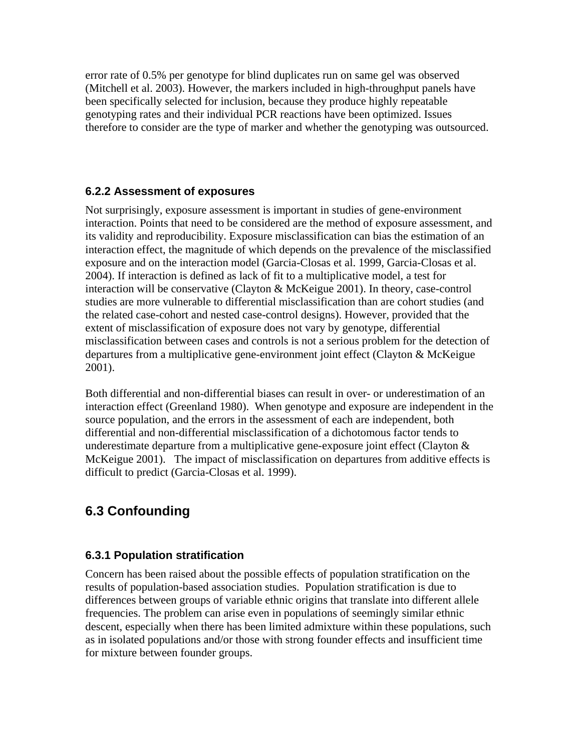error rate of 0.5% per genotype for blind duplicates run on same gel was observed (Mitchell et al. 2003). However, the markers included in high-throughput panels have been specifically selected for inclusion, because they produce highly repeatable genotyping rates and their individual PCR reactions have been optimized. Issues therefore to consider are the type of marker and whether the genotyping was outsourced.

### **6.2.2 Assessment of exposures**

Not surprisingly, exposure assessment is important in studies of gene-environment interaction. Points that need to be considered are the method of exposure assessment, and its validity and reproducibility. Exposure misclassification can bias the estimation of an interaction effect, the magnitude of which depends on the prevalence of the misclassified exposure and on the interaction model (Garcia-Closas et al. 1999, Garcia-Closas et al. 2004). If interaction is defined as lack of fit to a multiplicative model, a test for interaction will be conservative (Clayton & McKeigue 2001). In theory, case-control studies are more vulnerable to differential misclassification than are cohort studies (and the related case-cohort and nested case-control designs). However, provided that the extent of misclassification of exposure does not vary by genotype, differential misclassification between cases and controls is not a serious problem for the detection of departures from a multiplicative gene-environment joint effect (Clayton & McKeigue 2001).

Both differential and non-differential biases can result in over- or underestimation of an interaction effect (Greenland 1980). When genotype and exposure are independent in the source population, and the errors in the assessment of each are independent, both differential and non-differential misclassification of a dichotomous factor tends to underestimate departure from a multiplicative gene-exposure joint effect (Clayton  $\&$ McKeigue 2001). The impact of misclassification on departures from additive effects is difficult to predict (Garcia-Closas et al. 1999).

# **6.3 Confounding**

### **6.3.1 Population stratification**

Concern has been raised about the possible effects of population stratification on the results of population-based association studies. Population stratification is due to differences between groups of variable ethnic origins that translate into different allele frequencies. The problem can arise even in populations of seemingly similar ethnic descent, especially when there has been limited admixture within these populations, such as in isolated populations and/or those with strong founder effects and insufficient time for mixture between founder groups.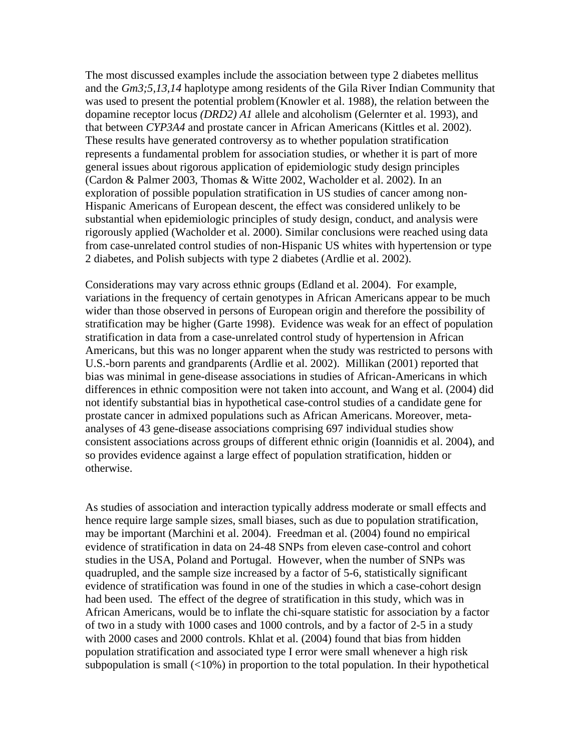The most discussed examples include the association between type 2 diabetes mellitus and the *Gm3;5,13,14* haplotype among residents of the Gila River Indian Community that was used to present the potential problem(Knowler et al. 1988), the relation between the dopamine receptor locus *(DRD2) A1* allele and alcoholism (Gelernter et al. 1993), and that between *CYP3A4* and prostate cancer in African Americans (Kittles et al. 2002). These results have generated controversy as to whether population stratification represents a fundamental problem for association studies, or whether it is part of more general issues about rigorous application of epidemiologic study design principles (Cardon & Palmer 2003, Thomas & Witte 2002, Wacholder et al. 2002). In an exploration of possible population stratification in US studies of cancer among non-Hispanic Americans of European descent, the effect was considered unlikely to be substantial when epidemiologic principles of study design, conduct, and analysis were rigorously applied (Wacholder et al. 2000). Similar conclusions were reached using data from case-unrelated control studies of non-Hispanic US whites with hypertension or type 2 diabetes, and Polish subjects with type 2 diabetes (Ardlie et al. 2002).

Considerations may vary across ethnic groups (Edland et al. 2004). For example, variations in the frequency of certain genotypes in African Americans appear to be much wider than those observed in persons of European origin and therefore the possibility of stratification may be higher (Garte 1998).Evidence was weak for an effect of population stratification in data from a case-unrelated control study of hypertension in African Americans, but this was no longer apparent when the study was restricted to persons with U.S.-born parents and grandparents (Ardlie et al. 2002). Millikan (2001) reported that bias was minimal in gene-disease associations in studies of African-Americans in which differences in ethnic composition were not taken into account, and Wang et al. (2004) did not identify substantial bias in hypothetical case-control studies of a candidate gene for prostate cancer in admixed populations such as African Americans. Moreover, metaanalyses of 43 gene-disease associations comprising 697 individual studies show consistent associations across groups of different ethnic origin (Ioannidis et al. 2004), and so provides evidence against a large effect of population stratification, hidden or otherwise.

As studies of association and interaction typically address moderate or small effects and hence require large sample sizes, small biases, such as due to population stratification, may be important (Marchini et al. 2004). Freedman et al. (2004) found no empirical evidence of stratification in data on 24-48 SNPs from eleven case-control and cohort studies in the USA, Poland and Portugal. However, when the number of SNPs was quadrupled, and the sample size increased by a factor of 5-6, statistically significant evidence of stratification was found in one of the studies in which a case-cohort design had been used. The effect of the degree of stratification in this study, which was in African Americans, would be to inflate the chi-square statistic for association by a factor of two in a study with 1000 cases and 1000 controls, and by a factor of 2-5 in a study with 2000 cases and 2000 controls. Khlat et al. (2004) found that bias from hidden population stratification and associated type I error were small whenever a high risk subpopulation is small  $\langle$  (10%) in proportion to the total population. In their hypothetical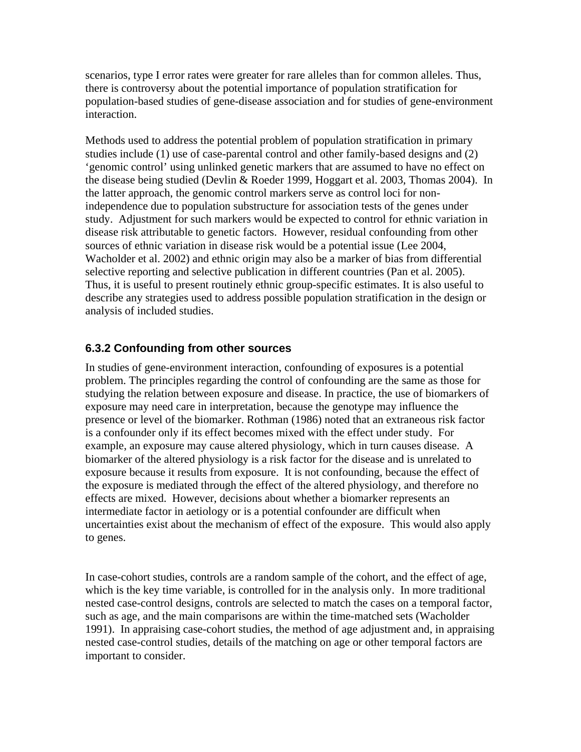scenarios, type I error rates were greater for rare alleles than for common alleles. Thus, there is controversy about the potential importance of population stratification for population-based studies of gene-disease association and for studies of gene-environment interaction.

Methods used to address the potential problem of population stratification in primary studies include (1) use of case-parental control and other family-based designs and (2) 'genomic control' using unlinked genetic markers that are assumed to have no effect on the disease being studied (Devlin & Roeder 1999, Hoggart et al. 2003, Thomas 2004). In the latter approach, the genomic control markers serve as control loci for nonindependence due to population substructure for association tests of the genes under study. Adjustment for such markers would be expected to control for ethnic variation in disease risk attributable to genetic factors. However, residual confounding from other sources of ethnic variation in disease risk would be a potential issue (Lee 2004, Wacholder et al. 2002) and ethnic origin may also be a marker of bias from differential selective reporting and selective publication in different countries (Pan et al. 2005). Thus, it is useful to present routinely ethnic group-specific estimates. It is also useful to describe any strategies used to address possible population stratification in the design or analysis of included studies.

### **6.3.2 Confounding from other sources**

In studies of gene-environment interaction, confounding of exposures is a potential problem. The principles regarding the control of confounding are the same as those for studying the relation between exposure and disease. In practice, the use of biomarkers of exposure may need care in interpretation, because the genotype may influence the presence or level of the biomarker. Rothman (1986) noted that an extraneous risk factor is a confounder only if its effect becomes mixed with the effect under study. For example, an exposure may cause altered physiology, which in turn causes disease. A biomarker of the altered physiology is a risk factor for the disease and is unrelated to exposure because it results from exposure. It is not confounding, because the effect of the exposure is mediated through the effect of the altered physiology, and therefore no effects are mixed. However, decisions about whether a biomarker represents an intermediate factor in aetiology or is a potential confounder are difficult when uncertainties exist about the mechanism of effect of the exposure. This would also apply to genes.

In case-cohort studies, controls are a random sample of the cohort, and the effect of age, which is the key time variable, is controlled for in the analysis only. In more traditional nested case-control designs, controls are selected to match the cases on a temporal factor, such as age, and the main comparisons are within the time-matched sets (Wacholder 1991). In appraising case-cohort studies, the method of age adjustment and, in appraising nested case-control studies, details of the matching on age or other temporal factors are important to consider.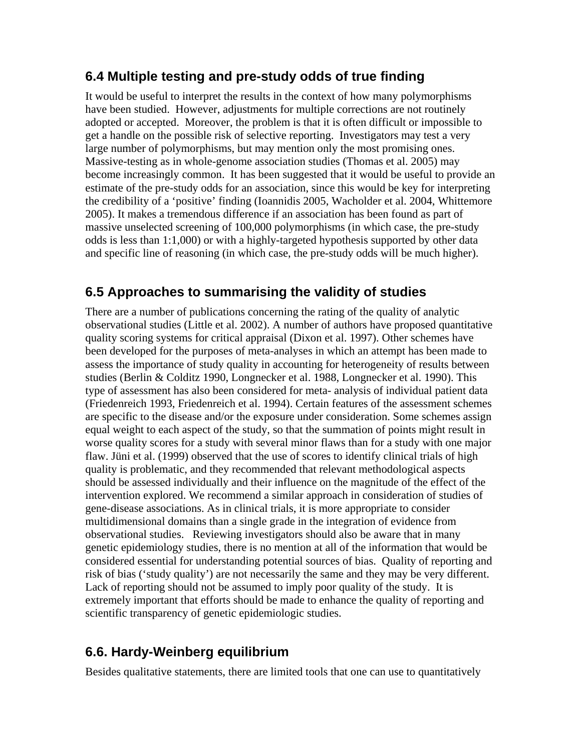## **6.4 Multiple testing and pre-study odds of true finding**

It would be useful to interpret the results in the context of how many polymorphisms have been studied. However, adjustments for multiple corrections are not routinely adopted or accepted. Moreover, the problem is that it is often difficult or impossible to get a handle on the possible risk of selective reporting. Investigators may test a very large number of polymorphisms, but may mention only the most promising ones. Massive-testing as in whole-genome association studies (Thomas et al. 2005) may become increasingly common. It has been suggested that it would be useful to provide an estimate of the pre-study odds for an association, since this would be key for interpreting the credibility of a 'positive' finding (Ioannidis 2005, Wacholder et al. 2004, Whittemore 2005). It makes a tremendous difference if an association has been found as part of massive unselected screening of 100,000 polymorphisms (in which case, the pre-study odds is less than 1:1,000) or with a highly-targeted hypothesis supported by other data and specific line of reasoning (in which case, the pre-study odds will be much higher).

# **6.5 Approaches to summarising the validity of studies**

There are a number of publications concerning the rating of the quality of analytic observational studies (Little et al. 2002). A number of authors have proposed quantitative quality scoring systems for critical appraisal (Dixon et al. 1997). Other schemes have been developed for the purposes of meta-analyses in which an attempt has been made to assess the importance of study quality in accounting for heterogeneity of results between studies (Berlin & Colditz 1990, Longnecker et al. 1988, Longnecker et al. 1990). This type of assessment has also been considered for meta- analysis of individual patient data (Friedenreich 1993, Friedenreich et al. 1994). Certain features of the assessment schemes are specific to the disease and/or the exposure under consideration. Some schemes assign equal weight to each aspect of the study, so that the summation of points might result in worse quality scores for a study with several minor flaws than for a study with one major flaw. Jüni et al. (1999) observed that the use of scores to identify clinical trials of high quality is problematic, and they recommended that relevant methodological aspects should be assessed individually and their influence on the magnitude of the effect of the intervention explored. We recommend a similar approach in consideration of studies of gene-disease associations. As in clinical trials, it is more appropriate to consider multidimensional domains than a single grade in the integration of evidence from observational studies. Reviewing investigators should also be aware that in many genetic epidemiology studies, there is no mention at all of the information that would be considered essential for understanding potential sources of bias. Quality of reporting and risk of bias ('study quality') are not necessarily the same and they may be very different. Lack of reporting should not be assumed to imply poor quality of the study. It is extremely important that efforts should be made to enhance the quality of reporting and scientific transparency of genetic epidemiologic studies.

# **6.6. Hardy-Weinberg equilibrium**

Besides qualitative statements, there are limited tools that one can use to quantitatively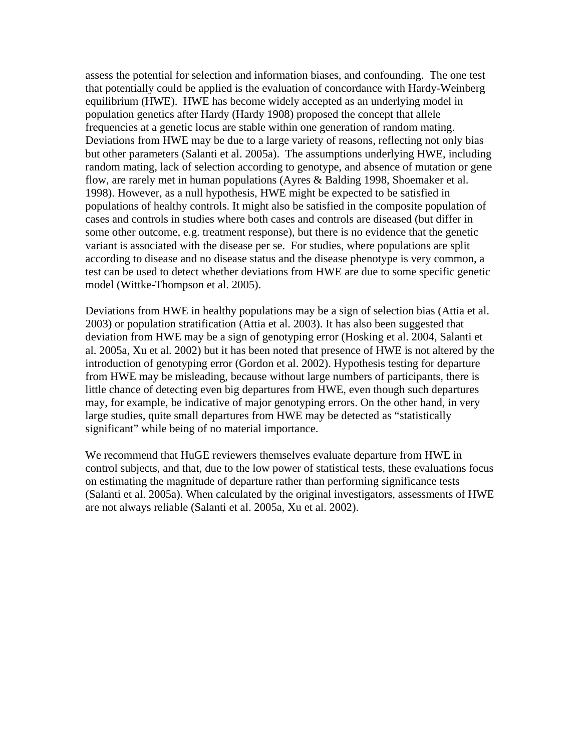assess the potential for selection and information biases, and confounding. The one test that potentially could be applied is the evaluation of concordance with Hardy-Weinberg equilibrium (HWE). HWE has become widely accepted as an underlying model in population genetics after Hardy (Hardy 1908) proposed the concept that allele frequencies at a genetic locus are stable within one generation of random mating. Deviations from HWE may be due to a large variety of reasons, reflecting not only bias but other parameters (Salanti et al. 2005a). The assumptions underlying HWE, including random mating, lack of selection according to genotype, and absence of mutation or gene flow, are rarely met in human populations (Ayres & Balding 1998, Shoemaker et al. 1998). However, as a null hypothesis, HWE might be expected to be satisfied in populations of healthy controls. It might also be satisfied in the composite population of cases and controls in studies where both cases and controls are diseased (but differ in some other outcome, e.g. treatment response), but there is no evidence that the genetic variant is associated with the disease per se. For studies, where populations are split according to disease and no disease status and the disease phenotype is very common, a test can be used to detect whether deviations from HWE are due to some specific genetic model (Wittke-Thompson et al. 2005).

Deviations from HWE in healthy populations may be a sign of selection bias (Attia et al. 2003) or population stratification (Attia et al. 2003). It has also been suggested that deviation from HWE may be a sign of genotyping error (Hosking et al. 2004, Salanti et al. 2005a, Xu et al. 2002) but it has been noted that presence of HWE is not altered by the introduction of genotyping error (Gordon et al. 2002). Hypothesis testing for departure from HWE may be misleading, because without large numbers of participants, there is little chance of detecting even big departures from HWE, even though such departures may, for example, be indicative of major genotyping errors. On the other hand, in very large studies, quite small departures from HWE may be detected as "statistically significant" while being of no material importance.

We recommend that HuGE reviewers themselves evaluate departure from HWE in control subjects, and that, due to the low power of statistical tests, these evaluations focus on estimating the magnitude of departure rather than performing significance tests (Salanti et al. 2005a). When calculated by the original investigators, assessments of HWE are not always reliable (Salanti et al. 2005a, Xu et al. 2002).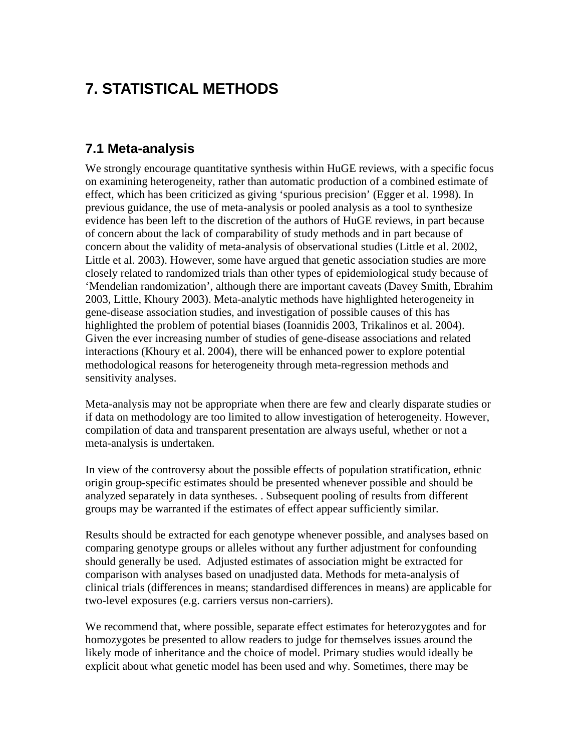# **7. STATISTICAL METHODS**

## **7.1 Meta-analysis**

We strongly encourage quantitative synthesis within HuGE reviews, with a specific focus on examining heterogeneity, rather than automatic production of a combined estimate of effect, which has been criticized as giving 'spurious precision' (Egger et al. 1998). In previous guidance, the use of meta-analysis or pooled analysis as a tool to synthesize evidence has been left to the discretion of the authors of HuGE reviews, in part because of concern about the lack of comparability of study methods and in part because of concern about the validity of meta-analysis of observational studies (Little et al. 2002, Little et al. 2003). However, some have argued that genetic association studies are more closely related to randomized trials than other types of epidemiological study because of 'Mendelian randomization', although there are important caveats (Davey Smith, Ebrahim 2003, Little, Khoury 2003). Meta-analytic methods have highlighted heterogeneity in gene-disease association studies, and investigation of possible causes of this has highlighted the problem of potential biases (Ioannidis 2003, Trikalinos et al. 2004). Given the ever increasing number of studies of gene-disease associations and related interactions (Khoury et al. 2004), there will be enhanced power to explore potential methodological reasons for heterogeneity through meta-regression methods and sensitivity analyses.

Meta-analysis may not be appropriate when there are few and clearly disparate studies or if data on methodology are too limited to allow investigation of heterogeneity. However, compilation of data and transparent presentation are always useful, whether or not a meta-analysis is undertaken.

In view of the controversy about the possible effects of population stratification, ethnic origin group-specific estimates should be presented whenever possible and should be analyzed separately in data syntheses. . Subsequent pooling of results from different groups may be warranted if the estimates of effect appear sufficiently similar.

Results should be extracted for each genotype whenever possible, and analyses based on comparing genotype groups or alleles without any further adjustment for confounding should generally be used. Adjusted estimates of association might be extracted for comparison with analyses based on unadjusted data. Methods for meta-analysis of clinical trials (differences in means; standardised differences in means) are applicable for two-level exposures (e.g. carriers versus non-carriers).

We recommend that, where possible, separate effect estimates for heterozygotes and for homozygotes be presented to allow readers to judge for themselves issues around the likely mode of inheritance and the choice of model. Primary studies would ideally be explicit about what genetic model has been used and why. Sometimes, there may be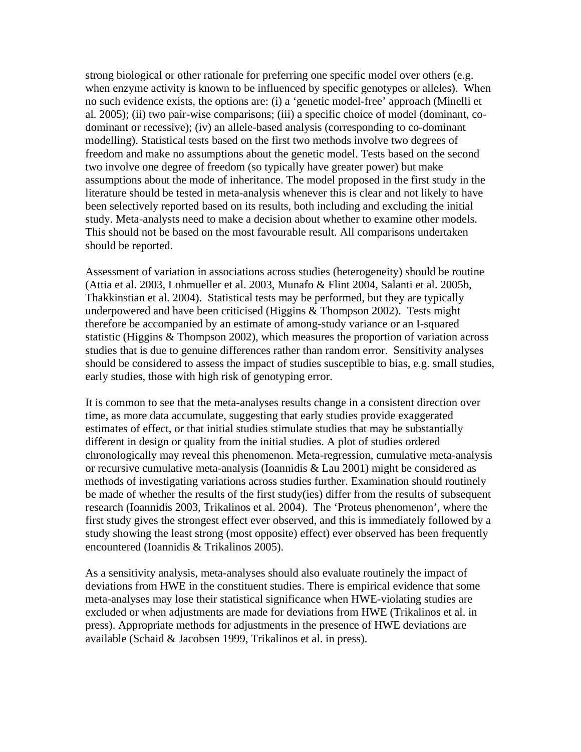strong biological or other rationale for preferring one specific model over others (e.g. when enzyme activity is known to be influenced by specific genotypes or alleles). When no such evidence exists, the options are: (i) a 'genetic model-free' approach (Minelli et al. 2005); (ii) two pair-wise comparisons; (iii) a specific choice of model (dominant, codominant or recessive); (iv) an allele-based analysis (corresponding to co-dominant modelling). Statistical tests based on the first two methods involve two degrees of freedom and make no assumptions about the genetic model. Tests based on the second two involve one degree of freedom (so typically have greater power) but make assumptions about the mode of inheritance. The model proposed in the first study in the literature should be tested in meta-analysis whenever this is clear and not likely to have been selectively reported based on its results, both including and excluding the initial study. Meta-analysts need to make a decision about whether to examine other models. This should not be based on the most favourable result. All comparisons undertaken should be reported.

Assessment of variation in associations across studies (heterogeneity) should be routine (Attia et al. 2003, Lohmueller et al. 2003, Munafo & Flint 2004, Salanti et al. 2005b, Thakkinstian et al. 2004). Statistical tests may be performed, but they are typically underpowered and have been criticised (Higgins & Thompson 2002). Tests might therefore be accompanied by an estimate of among-study variance or an I-squared statistic (Higgins & Thompson 2002), which measures the proportion of variation across studies that is due to genuine differences rather than random error. Sensitivity analyses should be considered to assess the impact of studies susceptible to bias, e.g. small studies, early studies, those with high risk of genotyping error.

It is common to see that the meta-analyses results change in a consistent direction over time, as more data accumulate, suggesting that early studies provide exaggerated estimates of effect, or that initial studies stimulate studies that may be substantially different in design or quality from the initial studies. A plot of studies ordered chronologically may reveal this phenomenon. Meta-regression, cumulative meta-analysis or recursive cumulative meta-analysis (Ioannidis & Lau 2001) might be considered as methods of investigating variations across studies further. Examination should routinely be made of whether the results of the first study(ies) differ from the results of subsequent research (Ioannidis 2003, Trikalinos et al. 2004). The 'Proteus phenomenon', where the first study gives the strongest effect ever observed, and this is immediately followed by a study showing the least strong (most opposite) effect) ever observed has been frequently encountered (Ioannidis & Trikalinos 2005).

As a sensitivity analysis, meta-analyses should also evaluate routinely the impact of deviations from HWE in the constituent studies. There is empirical evidence that some meta-analyses may lose their statistical significance when HWE-violating studies are excluded or when adjustments are made for deviations from HWE (Trikalinos et al. in press). Appropriate methods for adjustments in the presence of HWE deviations are available (Schaid & Jacobsen 1999, Trikalinos et al. in press).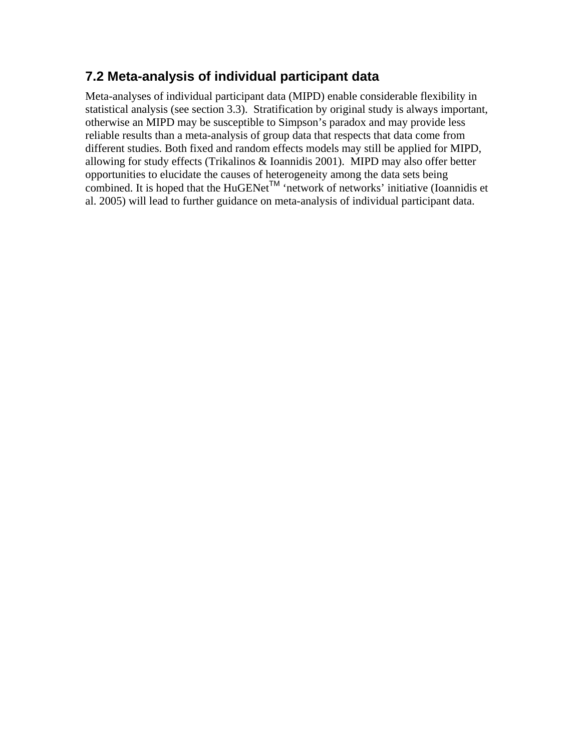# **7.2 Meta-analysis of individual participant data**

Meta-analyses of individual participant data (MIPD) enable considerable flexibility in statistical analysis (see section 3.3). Stratification by original study is always important, otherwise an MIPD may be susceptible to Simpson's paradox and may provide less reliable results than a meta-analysis of group data that respects that data come from different studies. Both fixed and random effects models may still be applied for MIPD, allowing for study effects (Trikalinos & Ioannidis 2001). MIPD may also offer better opportunities to elucidate the causes of heterogeneity among the data sets being combined. It is hoped that the HuGENet<sup>TM</sup> 'network of networks' initiative (Ioannidis et al. 2005) will lead to further guidance on meta-analysis of individual participant data.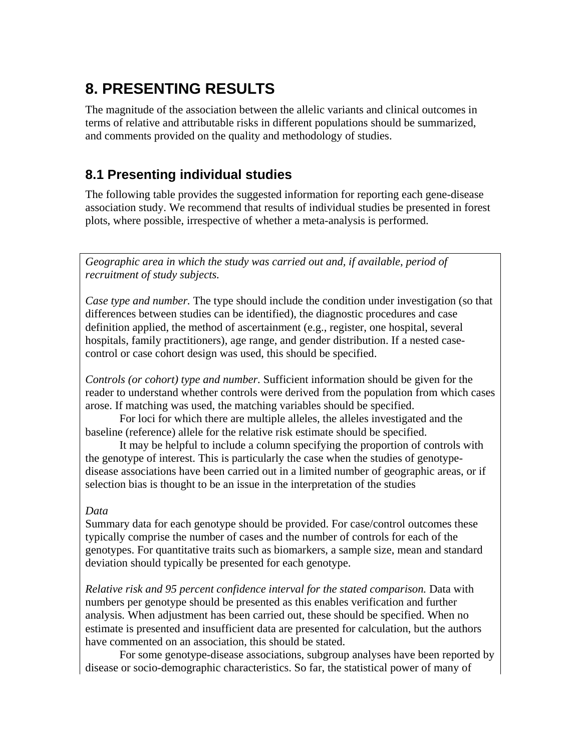# **8. PRESENTING RESULTS**

The magnitude of the association between the allelic variants and clinical outcomes in terms of relative and attributable risks in different populations should be summarized, and comments provided on the quality and methodology of studies.

# **8.1 Presenting individual studies**

The following table provides the suggested information for reporting each gene-disease association study. We recommend that results of individual studies be presented in forest plots, where possible, irrespective of whether a meta-analysis is performed.

*Geographic area in which the study was carried out and, if available, period of recruitment of study subjects.* 

*Case type and number.* The type should include the condition under investigation (so that differences between studies can be identified), the diagnostic procedures and case definition applied, the method of ascertainment (e.g., register, one hospital, several hospitals, family practitioners), age range, and gender distribution. If a nested casecontrol or case cohort design was used, this should be specified.

*Controls (or cohort) type and number.* Sufficient information should be given for the reader to understand whether controls were derived from the population from which cases arose. If matching was used, the matching variables should be specified.

For loci for which there are multiple alleles, the alleles investigated and the baseline (reference) allele for the relative risk estimate should be specified.

It may be helpful to include a column specifying the proportion of controls with the genotype of interest. This is particularly the case when the studies of genotypedisease associations have been carried out in a limited number of geographic areas, or if selection bias is thought to be an issue in the interpretation of the studies

### *Data*

Summary data for each genotype should be provided. For case/control outcomes these typically comprise the number of cases and the number of controls for each of the genotypes. For quantitative traits such as biomarkers, a sample size, mean and standard deviation should typically be presented for each genotype.

*Relative risk and 95 percent confidence interval for the stated comparison.* Data with numbers per genotype should be presented as this enables verification and further analysis*.* When adjustment has been carried out, these should be specified. When no estimate is presented and insufficient data are presented for calculation, but the authors have commented on an association, this should be stated.

For some genotype-disease associations, subgroup analyses have been reported by disease or socio-demographic characteristics. So far, the statistical power of many of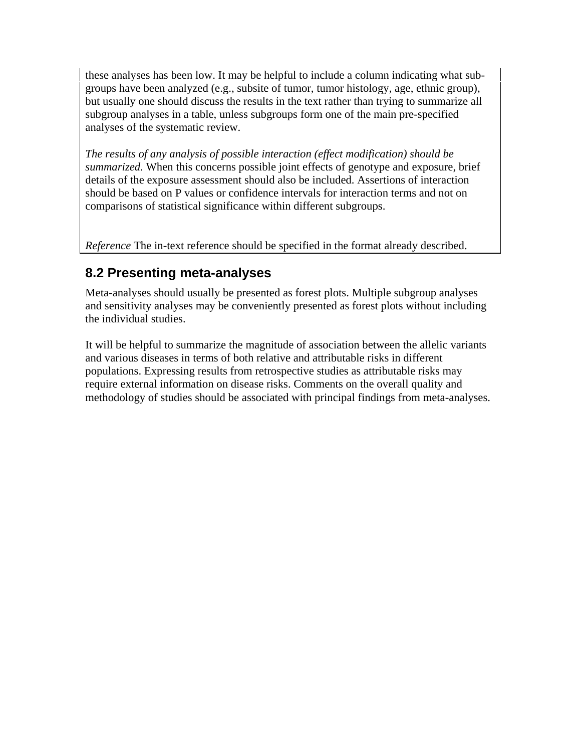these analyses has been low. It may be helpful to include a column indicating what subgroups have been analyzed (e.g., subsite of tumor, tumor histology, age, ethnic group), but usually one should discuss the results in the text rather than trying to summarize all subgroup analyses in a table, unless subgroups form one of the main pre-specified analyses of the systematic review.

*The results of any analysis of possible interaction (effect modification) should be summarized.* When this concerns possible joint effects of genotype and exposure, brief details of the exposure assessment should also be included. Assertions of interaction should be based on P values or confidence intervals for interaction terms and not on comparisons of statistical significance within different subgroups.

*Reference* The in-text reference should be specified in the format already described.

# **8.2 Presenting meta-analyses**

Meta-analyses should usually be presented as forest plots. Multiple subgroup analyses and sensitivity analyses may be conveniently presented as forest plots without including the individual studies.

It will be helpful to summarize the magnitude of association between the allelic variants and various diseases in terms of both relative and attributable risks in different populations. Expressing results from retrospective studies as attributable risks may require external information on disease risks. Comments on the overall quality and methodology of studies should be associated with principal findings from meta-analyses.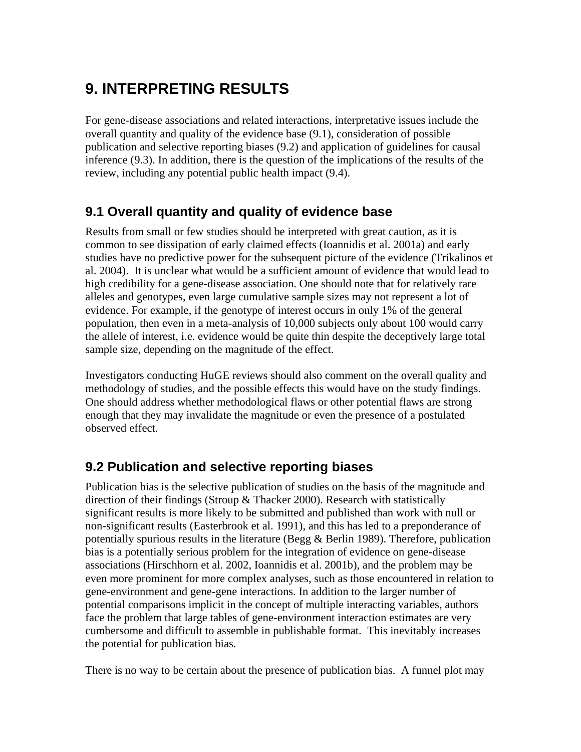# **9. INTERPRETING RESULTS**

For gene-disease associations and related interactions, interpretative issues include the overall quantity and quality of the evidence base (9.1), consideration of possible publication and selective reporting biases (9.2) and application of guidelines for causal inference (9.3). In addition, there is the question of the implications of the results of the review, including any potential public health impact (9.4).

## **9.1 Overall quantity and quality of evidence base**

Results from small or few studies should be interpreted with great caution, as it is common to see dissipation of early claimed effects (Ioannidis et al. 2001a) and early studies have no predictive power for the subsequent picture of the evidence (Trikalinos et al. 2004). It is unclear what would be a sufficient amount of evidence that would lead to high credibility for a gene-disease association. One should note that for relatively rare alleles and genotypes, even large cumulative sample sizes may not represent a lot of evidence. For example, if the genotype of interest occurs in only 1% of the general population, then even in a meta-analysis of 10,000 subjects only about 100 would carry the allele of interest, i.e. evidence would be quite thin despite the deceptively large total sample size, depending on the magnitude of the effect.

Investigators conducting HuGE reviews should also comment on the overall quality and methodology of studies, and the possible effects this would have on the study findings. One should address whether methodological flaws or other potential flaws are strong enough that they may invalidate the magnitude or even the presence of a postulated observed effect.

# **9.2 Publication and selective reporting biases**

Publication bias is the selective publication of studies on the basis of the magnitude and direction of their findings (Stroup  $&$  Thacker 2000). Research with statistically significant results is more likely to be submitted and published than work with null or non-significant results (Easterbrook et al. 1991), and this has led to a preponderance of potentially spurious results in the literature (Begg  $\&$  Berlin 1989). Therefore, publication bias is a potentially serious problem for the integration of evidence on gene-disease associations (Hirschhorn et al. 2002, Ioannidis et al. 2001b), and the problem may be even more prominent for more complex analyses, such as those encountered in relation to gene-environment and gene-gene interactions. In addition to the larger number of potential comparisons implicit in the concept of multiple interacting variables, authors face the problem that large tables of gene-environment interaction estimates are very cumbersome and difficult to assemble in publishable format. This inevitably increases the potential for publication bias.

There is no way to be certain about the presence of publication bias. A funnel plot may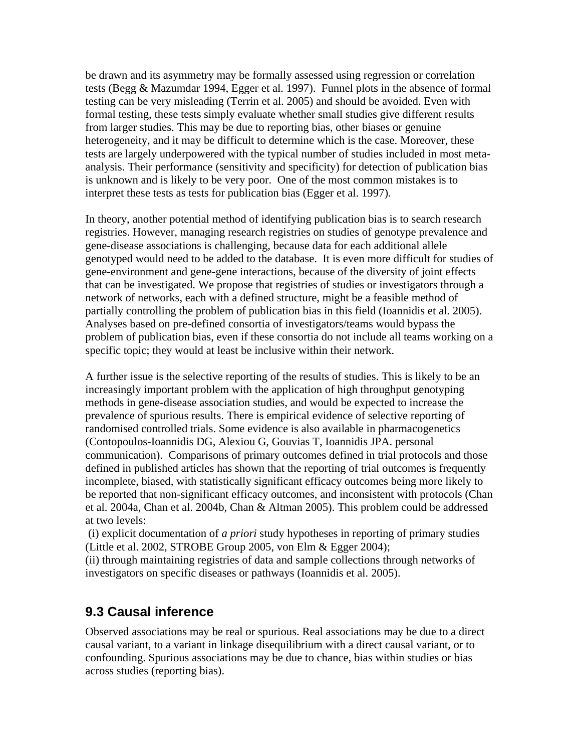be drawn and its asymmetry may be formally assessed using regression or correlation tests (Begg & Mazumdar 1994, Egger et al. 1997). Funnel plots in the absence of formal testing can be very misleading (Terrin et al. 2005) and should be avoided. Even with formal testing, these tests simply evaluate whether small studies give different results from larger studies. This may be due to reporting bias, other biases or genuine heterogeneity, and it may be difficult to determine which is the case. Moreover, these tests are largely underpowered with the typical number of studies included in most metaanalysis. Their performance (sensitivity and specificity) for detection of publication bias is unknown and is likely to be very poor. One of the most common mistakes is to interpret these tests as tests for publication bias (Egger et al. 1997).

In theory, another potential method of identifying publication bias is to search research registries. However, managing research registries on studies of genotype prevalence and gene-disease associations is challenging, because data for each additional allele genotyped would need to be added to the database. It is even more difficult for studies of gene-environment and gene-gene interactions, because of the diversity of joint effects that can be investigated. We propose that registries of studies or investigators through a network of networks, each with a defined structure, might be a feasible method of partially controlling the problem of publication bias in this field (Ioannidis et al. 2005). Analyses based on pre-defined consortia of investigators/teams would bypass the problem of publication bias, even if these consortia do not include all teams working on a specific topic; they would at least be inclusive within their network.

A further issue is the selective reporting of the results of studies. This is likely to be an increasingly important problem with the application of high throughput genotyping methods in gene-disease association studies, and would be expected to increase the prevalence of spurious results. There is empirical evidence of selective reporting of randomised controlled trials. Some evidence is also available in pharmacogenetics (Contopoulos-Ioannidis DG, Alexiou G, Gouvias T, Ioannidis JPA. personal communication). Comparisons of primary outcomes defined in trial protocols and those defined in published articles has shown that the reporting of trial outcomes is frequently incomplete, biased, with statistically significant efficacy outcomes being more likely to be reported that non-significant efficacy outcomes, and inconsistent with protocols (Chan et al. 2004a, Chan et al. 2004b, Chan & Altman 2005). This problem could be addressed at two levels:

 (i) explicit documentation of *a priori* study hypotheses in reporting of primary studies (Little et al. 2002, STROBE Group 2005, von Elm & Egger 2004);

(ii) through maintaining registries of data and sample collections through networks of investigators on specific diseases or pathways (Ioannidis et al. 2005).

## **9.3 Causal inference**

Observed associations may be real or spurious. Real associations may be due to a direct causal variant, to a variant in linkage disequilibrium with a direct causal variant, or to confounding. Spurious associations may be due to chance, bias within studies or bias across studies (reporting bias).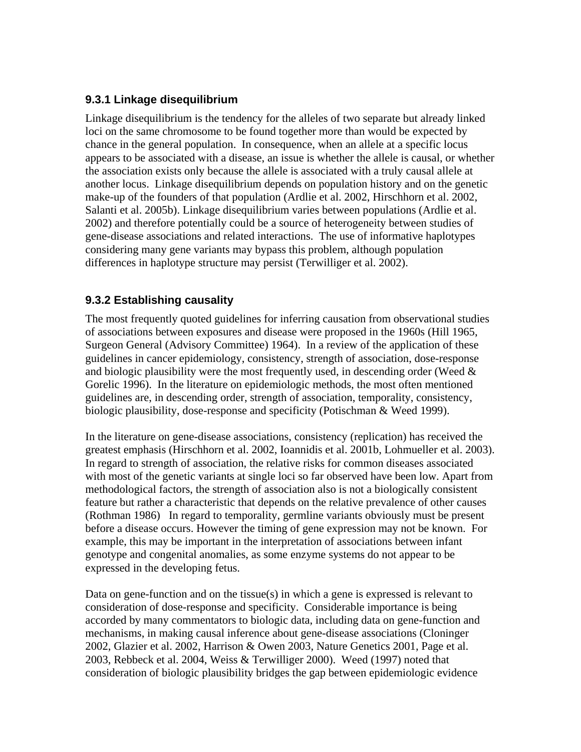### **9.3.1 Linkage disequilibrium**

Linkage disequilibrium is the tendency for the alleles of two separate but already linked loci on the same chromosome to be found together more than would be expected by chance in the general population. In consequence, when an allele at a specific locus appears to be associated with a disease, an issue is whether the allele is causal, or whether the association exists only because the allele is associated with a truly causal allele at another locus. Linkage disequilibrium depends on population history and on the genetic make-up of the founders of that population (Ardlie et al. 2002, Hirschhorn et al. 2002, Salanti et al. 2005b). Linkage disequilibrium varies between populations (Ardlie et al. 2002) and therefore potentially could be a source of heterogeneity between studies of gene-disease associations and related interactions. The use of informative haplotypes considering many gene variants may bypass this problem, although population differences in haplotype structure may persist (Terwilliger et al. 2002).

### **9.3.2 Establishing causality**

The most frequently quoted guidelines for inferring causation from observational studies of associations between exposures and disease were proposed in the 1960s (Hill 1965, Surgeon General (Advisory Committee) 1964). In a review of the application of these guidelines in cancer epidemiology, consistency, strength of association, dose-response and biologic plausibility were the most frequently used, in descending order (Weed  $\&$ Gorelic 1996). In the literature on epidemiologic methods, the most often mentioned guidelines are, in descending order, strength of association, temporality, consistency, biologic plausibility, dose-response and specificity (Potischman & Weed 1999).

In the literature on gene-disease associations, consistency (replication) has received the greatest emphasis (Hirschhorn et al. 2002, Ioannidis et al. 2001b, Lohmueller et al. 2003). In regard to strength of association, the relative risks for common diseases associated with most of the genetic variants at single loci so far observed have been low. Apart from methodological factors, the strength of association also is not a biologically consistent feature but rather a characteristic that depends on the relative prevalence of other causes (Rothman 1986) In regard to temporality, germline variants obviously must be present before a disease occurs. However the timing of gene expression may not be known. For example, this may be important in the interpretation of associations between infant genotype and congenital anomalies, as some enzyme systems do not appear to be expressed in the developing fetus.

Data on gene-function and on the tissue(s) in which a gene is expressed is relevant to consideration of dose-response and specificity. Considerable importance is being accorded by many commentators to biologic data, including data on gene-function and mechanisms, in making causal inference about gene-disease associations (Cloninger 2002, Glazier et al. 2002, Harrison & Owen 2003, Nature Genetics 2001, Page et al. 2003, Rebbeck et al. 2004, Weiss & Terwilliger 2000). Weed (1997) noted that consideration of biologic plausibility bridges the gap between epidemiologic evidence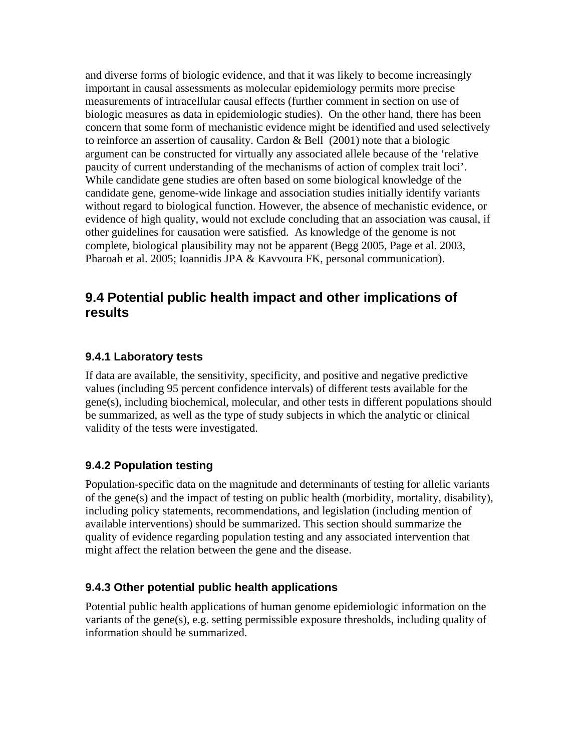and diverse forms of biologic evidence, and that it was likely to become increasingly important in causal assessments as molecular epidemiology permits more precise measurements of intracellular causal effects (further comment in section on use of biologic measures as data in epidemiologic studies). On the other hand, there has been concern that some form of mechanistic evidence might be identified and used selectively to reinforce an assertion of causality. Cardon & Bell (2001) note that a biologic argument can be constructed for virtually any associated allele because of the 'relative paucity of current understanding of the mechanisms of action of complex trait loci'. While candidate gene studies are often based on some biological knowledge of the candidate gene, genome-wide linkage and association studies initially identify variants without regard to biological function. However, the absence of mechanistic evidence, or evidence of high quality, would not exclude concluding that an association was causal, if other guidelines for causation were satisfied. As knowledge of the genome is not complete, biological plausibility may not be apparent (Begg 2005, Page et al. 2003, Pharoah et al. 2005; Ioannidis JPA & Kavvoura FK, personal communication).

## **9.4 Potential public health impact and other implications of results**

### **9.4.1 Laboratory tests**

If data are available, the sensitivity, specificity, and positive and negative predictive values (including 95 percent confidence intervals) of different tests available for the gene(s), including biochemical, molecular, and other tests in different populations should be summarized, as well as the type of study subjects in which the analytic or clinical validity of the tests were investigated.

### **9.4.2 Population testing**

Population-specific data on the magnitude and determinants of testing for allelic variants of the gene(s) and the impact of testing on public health (morbidity, mortality, disability), including policy statements, recommendations, and legislation (including mention of available interventions) should be summarized. This section should summarize the quality of evidence regarding population testing and any associated intervention that might affect the relation between the gene and the disease.

### **9.4.3 Other potential public health applications**

Potential public health applications of human genome epidemiologic information on the variants of the gene(s), e.g. setting permissible exposure thresholds, including quality of information should be summarized.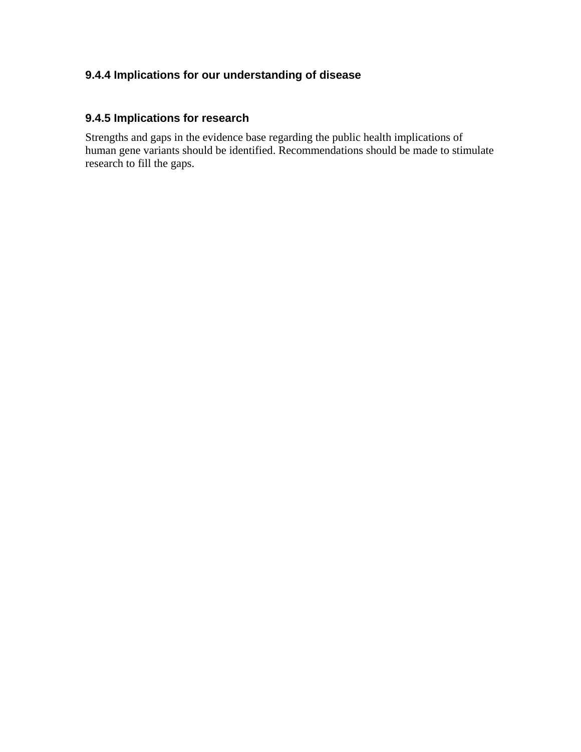## **9.4.4 Implications for our understanding of disease**

### **9.4.5 Implications for research**

Strengths and gaps in the evidence base regarding the public health implications of human gene variants should be identified. Recommendations should be made to stimulate research to fill the gaps.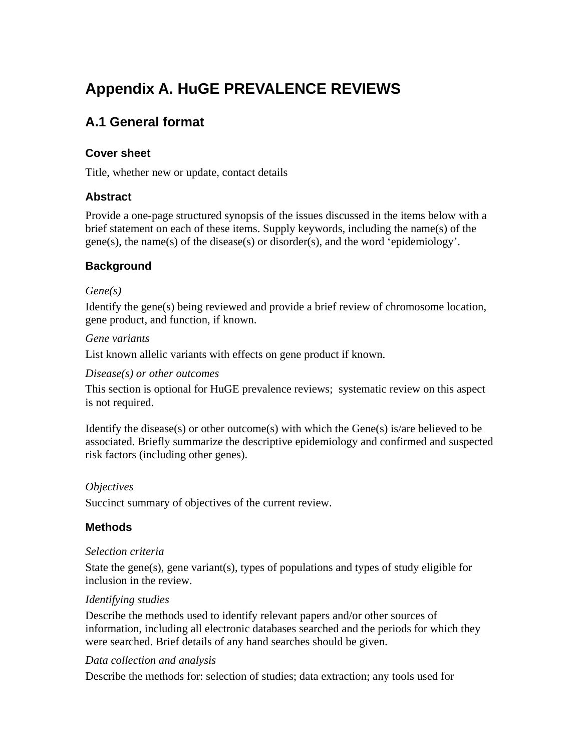# **Appendix A. HuGE PREVALENCE REVIEWS**

# **A.1 General format**

### **Cover sheet**

Title, whether new or update, contact details

### **Abstract**

Provide a one-page structured synopsis of the issues discussed in the items below with a brief statement on each of these items. Supply keywords, including the name(s) of the gene(s), the name(s) of the disease(s) or disorder(s), and the word 'epidemiology'.

### **Background**

### *Gene(s)*

Identify the gene(s) being reviewed and provide a brief review of chromosome location, gene product, and function, if known.

### *Gene variants*

List known allelic variants with effects on gene product if known.

### *Disease(s) or other outcomes*

This section is optional for HuGE prevalence reviews; systematic review on this aspect is not required.

Identify the disease(s) or other outcome(s) with which the Gene(s) is/are believed to be associated. Briefly summarize the descriptive epidemiology and confirmed and suspected risk factors (including other genes).

### *Objectives*

Succinct summary of objectives of the current review.

### **Methods**

### *Selection criteria*

State the gene(s), gene variant(s), types of populations and types of study eligible for inclusion in the review.

### *Identifying studies*

Describe the methods used to identify relevant papers and/or other sources of information, including all electronic databases searched and the periods for which they were searched. Brief details of any hand searches should be given.

### *Data collection and analysis*

Describe the methods for: selection of studies; data extraction; any tools used for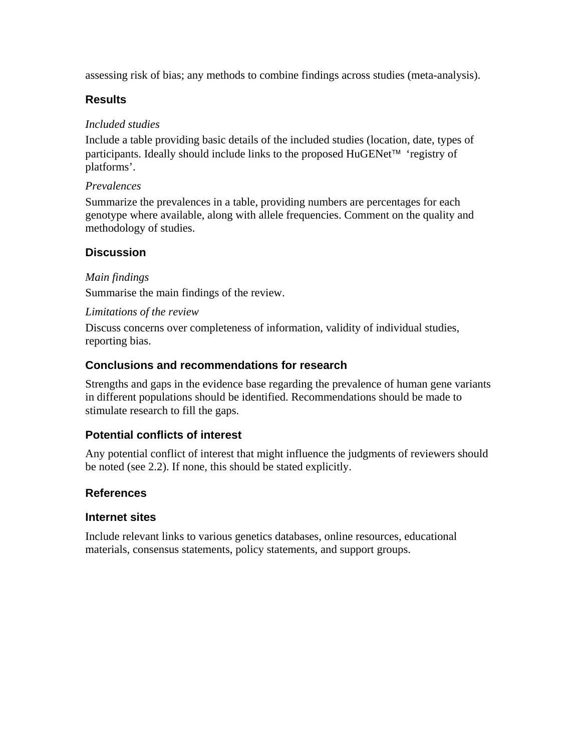assessing risk of bias; any methods to combine findings across studies (meta-analysis).

### **Results**

### *Included studies*

Include a table providing basic details of the included studies (location, date, types of participants. Ideally should include links to the proposed HuGENet™ 'registry of platforms'.

### *Prevalences*

Summarize the prevalences in a table, providing numbers are percentages for each genotype where available, along with allele frequencies. Comment on the quality and methodology of studies.

### **Discussion**

### *Main findings*

Summarise the main findings of the review.

### *Limitations of the review*

Discuss concerns over completeness of information, validity of individual studies, reporting bias.

### **Conclusions and recommendations for research**

Strengths and gaps in the evidence base regarding the prevalence of human gene variants in different populations should be identified. Recommendations should be made to stimulate research to fill the gaps.

### **Potential conflicts of interest**

Any potential conflict of interest that might influence the judgments of reviewers should be noted (see 2.2). If none, this should be stated explicitly.

### **References**

### **Internet sites**

Include relevant links to various genetics databases, online resources, educational materials, consensus statements, policy statements, and support groups.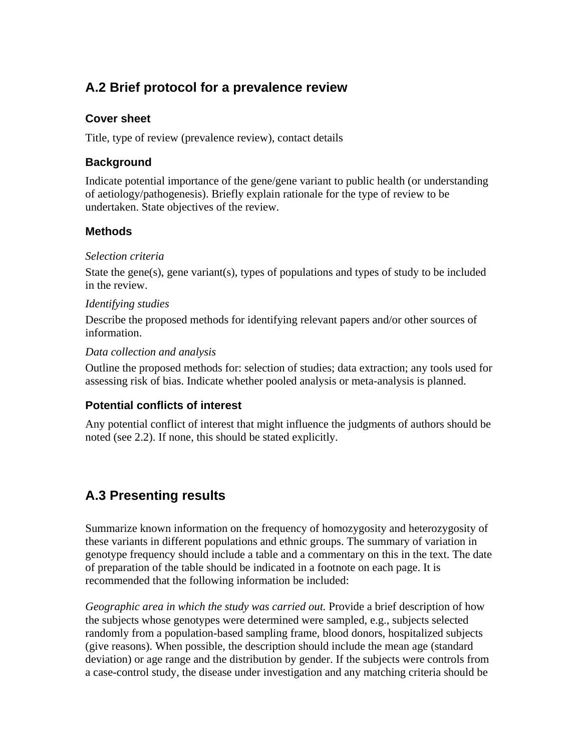# **A.2 Brief protocol for a prevalence review**

### **Cover sheet**

Title, type of review (prevalence review), contact details

### **Background**

Indicate potential importance of the gene/gene variant to public health (or understanding of aetiology/pathogenesis). Briefly explain rationale for the type of review to be undertaken. State objectives of the review.

### **Methods**

### *Selection criteria*

State the gene(s), gene variant(s), types of populations and types of study to be included in the review.

### *Identifying studies*

Describe the proposed methods for identifying relevant papers and/or other sources of information.

### *Data collection and analysis*

Outline the proposed methods for: selection of studies; data extraction; any tools used for assessing risk of bias. Indicate whether pooled analysis or meta-analysis is planned.

### **Potential conflicts of interest**

Any potential conflict of interest that might influence the judgments of authors should be noted (see 2.2). If none, this should be stated explicitly.

# **A.3 Presenting results**

Summarize known information on the frequency of homozygosity and heterozygosity of these variants in different populations and ethnic groups. The summary of variation in genotype frequency should include a table and a commentary on this in the text. The date of preparation of the table should be indicated in a footnote on each page. It is recommended that the following information be included:

*Geographic area in which the study was carried out.* Provide a brief description of how the subjects whose genotypes were determined were sampled, e.g., subjects selected randomly from a population-based sampling frame, blood donors, hospitalized subjects (give reasons). When possible, the description should include the mean age (standard deviation) or age range and the distribution by gender. If the subjects were controls from a case-control study, the disease under investigation and any matching criteria should be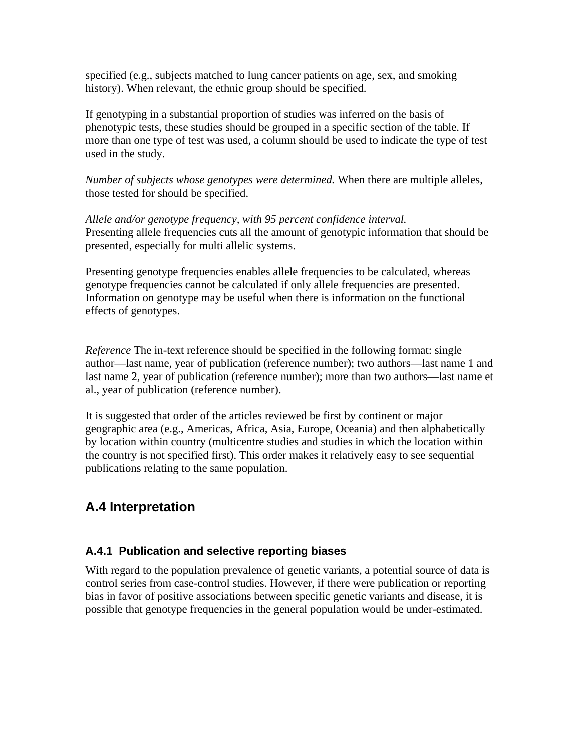specified (e.g., subjects matched to lung cancer patients on age, sex, and smoking history). When relevant, the ethnic group should be specified.

If genotyping in a substantial proportion of studies was inferred on the basis of phenotypic tests, these studies should be grouped in a specific section of the table. If more than one type of test was used, a column should be used to indicate the type of test used in the study.

*Number of subjects whose genotypes were determined.* When there are multiple alleles, those tested for should be specified.

*Allele and/or genotype frequency, with 95 percent confidence interval.* Presenting allele frequencies cuts all the amount of genotypic information that should be presented, especially for multi allelic systems.

Presenting genotype frequencies enables allele frequencies to be calculated, whereas genotype frequencies cannot be calculated if only allele frequencies are presented. Information on genotype may be useful when there is information on the functional effects of genotypes.

*Reference* The in-text reference should be specified in the following format: single author—last name, year of publication (reference number); two authors—last name 1 and last name 2, year of publication (reference number); more than two authors—last name et al., year of publication (reference number).

It is suggested that order of the articles reviewed be first by continent or major geographic area (e.g., Americas, Africa, Asia, Europe, Oceania) and then alphabetically by location within country (multicentre studies and studies in which the location within the country is not specified first). This order makes it relatively easy to see sequential publications relating to the same population.

# **A.4 Interpretation**

### **A.4.1 Publication and selective reporting biases**

With regard to the population prevalence of genetic variants, a potential source of data is control series from case-control studies. However, if there were publication or reporting bias in favor of positive associations between specific genetic variants and disease, it is possible that genotype frequencies in the general population would be under-estimated.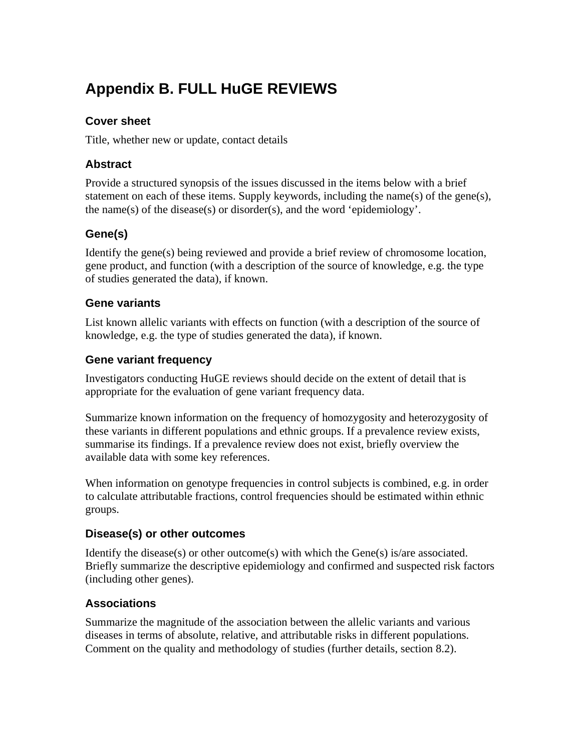# **Appendix B. FULL HuGE REVIEWS**

### **Cover sheet**

Title, whether new or update, contact details

### **Abstract**

Provide a structured synopsis of the issues discussed in the items below with a brief statement on each of these items. Supply keywords, including the name(s) of the gene(s), the name(s) of the disease(s) or disorder(s), and the word 'epidemiology'.

## **Gene(s)**

Identify the gene(s) being reviewed and provide a brief review of chromosome location, gene product, and function (with a description of the source of knowledge, e.g. the type of studies generated the data), if known.

### **Gene variants**

List known allelic variants with effects on function (with a description of the source of knowledge, e.g. the type of studies generated the data), if known.

### **Gene variant frequency**

Investigators conducting HuGE reviews should decide on the extent of detail that is appropriate for the evaluation of gene variant frequency data.

Summarize known information on the frequency of homozygosity and heterozygosity of these variants in different populations and ethnic groups. If a prevalence review exists, summarise its findings. If a prevalence review does not exist, briefly overview the available data with some key references.

When information on genotype frequencies in control subjects is combined, e.g. in order to calculate attributable fractions, control frequencies should be estimated within ethnic groups.

### **Disease(s) or other outcomes**

Identify the disease(s) or other outcome(s) with which the Gene(s) is/are associated. Briefly summarize the descriptive epidemiology and confirmed and suspected risk factors (including other genes).

## **Associations**

Summarize the magnitude of the association between the allelic variants and various diseases in terms of absolute, relative, and attributable risks in different populations. Comment on the quality and methodology of studies (further details, section 8.2).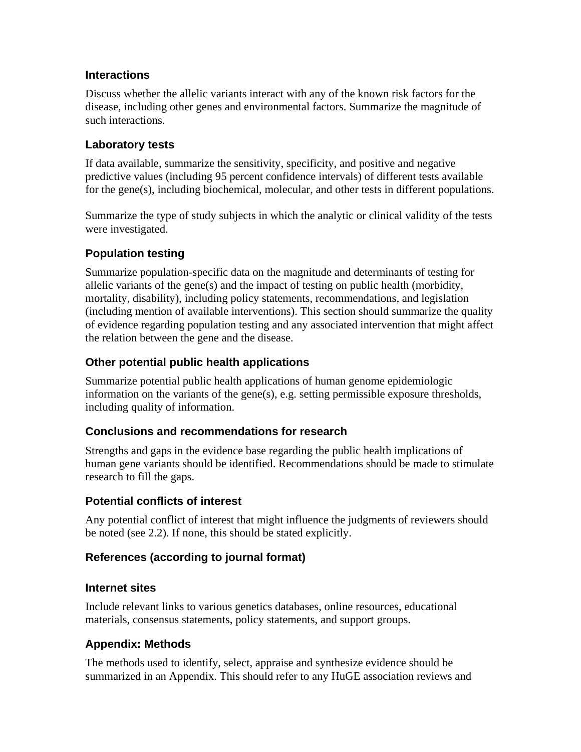### **Interactions**

Discuss whether the allelic variants interact with any of the known risk factors for the disease, including other genes and environmental factors. Summarize the magnitude of such interactions.

### **Laboratory tests**

If data available, summarize the sensitivity, specificity, and positive and negative predictive values (including 95 percent confidence intervals) of different tests available for the gene(s), including biochemical, molecular, and other tests in different populations.

Summarize the type of study subjects in which the analytic or clinical validity of the tests were investigated.

### **Population testing**

Summarize population-specific data on the magnitude and determinants of testing for allelic variants of the gene(s) and the impact of testing on public health (morbidity, mortality, disability), including policy statements, recommendations, and legislation (including mention of available interventions). This section should summarize the quality of evidence regarding population testing and any associated intervention that might affect the relation between the gene and the disease.

### **Other potential public health applications**

Summarize potential public health applications of human genome epidemiologic information on the variants of the gene(s), e.g. setting permissible exposure thresholds, including quality of information.

### **Conclusions and recommendations for research**

Strengths and gaps in the evidence base regarding the public health implications of human gene variants should be identified. Recommendations should be made to stimulate research to fill the gaps.

### **Potential conflicts of interest**

Any potential conflict of interest that might influence the judgments of reviewers should be noted (see 2.2). If none, this should be stated explicitly.

### **References (according to journal format)**

### **Internet sites**

Include relevant links to various genetics databases, online resources, educational materials, consensus statements, policy statements, and support groups.

### **Appendix: Methods**

The methods used to identify, select, appraise and synthesize evidence should be summarized in an Appendix. This should refer to any HuGE association reviews and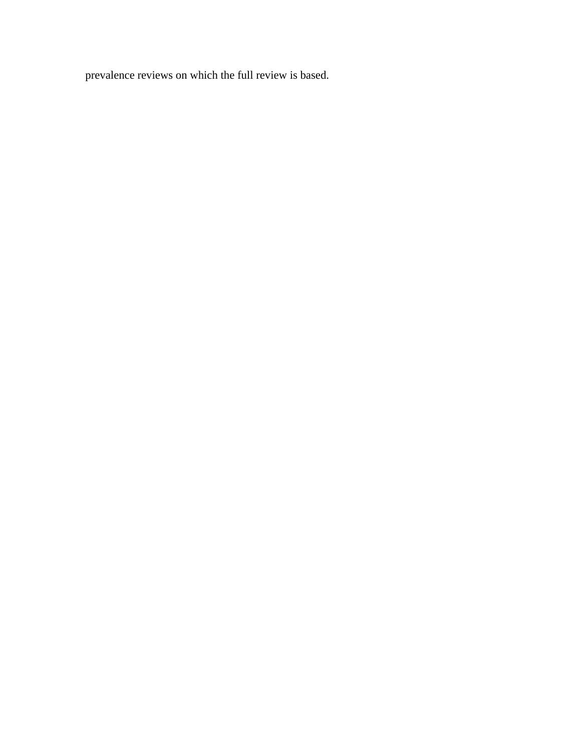prevalence reviews on which the full review is based.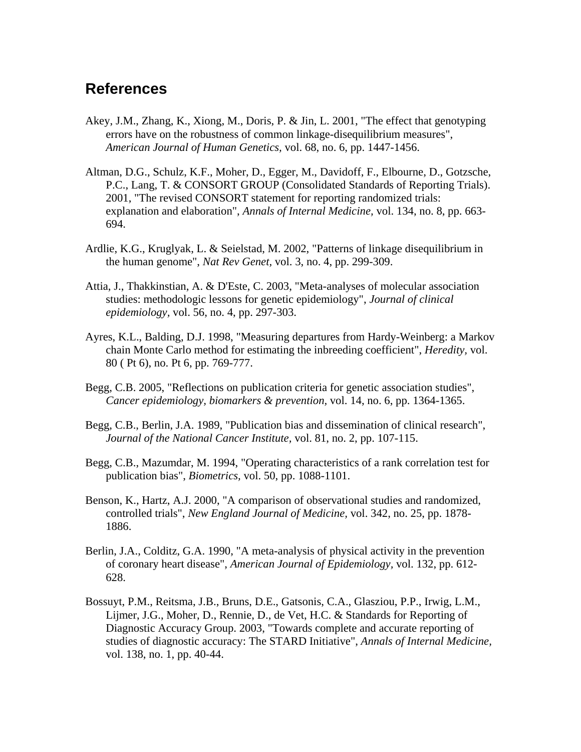# **References**

- Akey, J.M., Zhang, K., Xiong, M., Doris, P. & Jin, L. 2001, "The effect that genotyping errors have on the robustness of common linkage-disequilibrium measures", *American Journal of Human Genetics,* vol. 68, no. 6, pp. 1447-1456.
- Altman, D.G., Schulz, K.F., Moher, D., Egger, M., Davidoff, F., Elbourne, D., Gotzsche, P.C., Lang, T. & CONSORT GROUP (Consolidated Standards of Reporting Trials). 2001, "The revised CONSORT statement for reporting randomized trials: explanation and elaboration", *Annals of Internal Medicine,* vol. 134, no. 8, pp. 663- 694.
- Ardlie, K.G., Kruglyak, L. & Seielstad, M. 2002, "Patterns of linkage disequilibrium in the human genome", *Nat Rev Genet,* vol. 3, no. 4, pp. 299-309.
- Attia, J., Thakkinstian, A. & D'Este, C. 2003, "Meta-analyses of molecular association studies: methodologic lessons for genetic epidemiology", *Journal of clinical epidemiology,* vol. 56, no. 4, pp. 297-303.
- Ayres, K.L., Balding, D.J. 1998, "Measuring departures from Hardy-Weinberg: a Markov chain Monte Carlo method for estimating the inbreeding coefficient", *Heredity,* vol. 80 ( Pt 6), no. Pt 6, pp. 769-777.
- Begg, C.B. 2005, "Reflections on publication criteria for genetic association studies", *Cancer epidemiology, biomarkers & prevention,* vol. 14, no. 6, pp. 1364-1365.
- Begg, C.B., Berlin, J.A. 1989, "Publication bias and dissemination of clinical research", *Journal of the National Cancer Institute,* vol. 81, no. 2, pp. 107-115.
- Begg, C.B., Mazumdar, M. 1994, "Operating characteristics of a rank correlation test for publication bias", *Biometrics,* vol. 50, pp. 1088-1101.
- Benson, K., Hartz, A.J. 2000, "A comparison of observational studies and randomized, controlled trials", *New England Journal of Medicine,* vol. 342, no. 25, pp. 1878- 1886.
- Berlin, J.A., Colditz, G.A. 1990, "A meta-analysis of physical activity in the prevention of coronary heart disease", *American Journal of Epidemiology,* vol. 132, pp. 612- 628.
- Bossuyt, P.M., Reitsma, J.B., Bruns, D.E., Gatsonis, C.A., Glasziou, P.P., Irwig, L.M., Lijmer, J.G., Moher, D., Rennie, D., de Vet, H.C. & Standards for Reporting of Diagnostic Accuracy Group. 2003, "Towards complete and accurate reporting of studies of diagnostic accuracy: The STARD Initiative", *Annals of Internal Medicine,*  vol. 138, no. 1, pp. 40-44.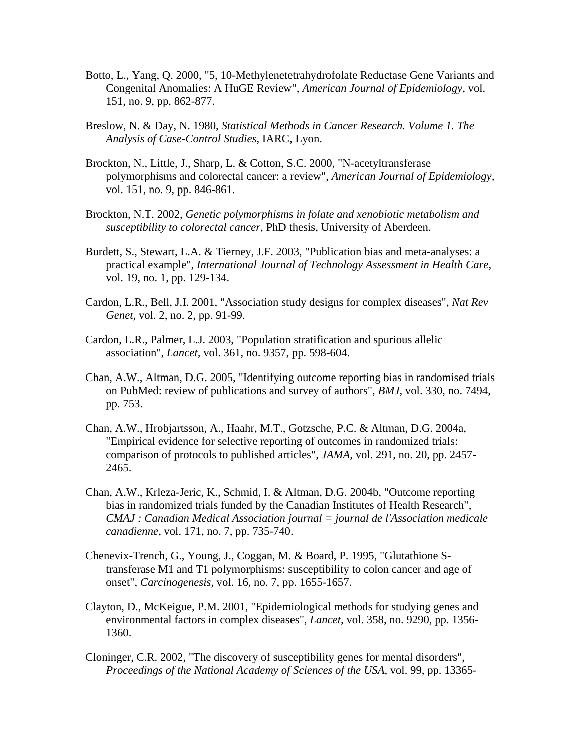- Botto, L., Yang, Q. 2000, "5, 10-Methylenetetrahydrofolate Reductase Gene Variants and Congenital Anomalies: A HuGE Review", *American Journal of Epidemiology,* vol. 151, no. 9, pp. 862-877.
- Breslow, N. & Day, N. 1980, *Statistical Methods in Cancer Research. Volume 1. The Analysis of Case-Control Studies*, IARC, Lyon.
- Brockton, N., Little, J., Sharp, L. & Cotton, S.C. 2000, "N-acetyltransferase polymorphisms and colorectal cancer: a review", *American Journal of Epidemiology,*  vol. 151, no. 9, pp. 846-861.
- Brockton, N.T. 2002, *Genetic polymorphisms in folate and xenobiotic metabolism and susceptibility to colorectal cancer*, PhD thesis, University of Aberdeen.
- Burdett, S., Stewart, L.A. & Tierney, J.F. 2003, "Publication bias and meta-analyses: a practical example", *International Journal of Technology Assessment in Health Care,*  vol. 19, no. 1, pp. 129-134.
- Cardon, L.R., Bell, J.I. 2001, "Association study designs for complex diseases", *Nat Rev Genet,* vol. 2, no. 2, pp. 91-99.
- Cardon, L.R., Palmer, L.J. 2003, "Population stratification and spurious allelic association", *Lancet,* vol. 361, no. 9357, pp. 598-604.
- Chan, A.W., Altman, D.G. 2005, "Identifying outcome reporting bias in randomised trials on PubMed: review of publications and survey of authors", *BMJ,* vol. 330, no. 7494, pp. 753.
- Chan, A.W., Hrobjartsson, A., Haahr, M.T., Gotzsche, P.C. & Altman, D.G. 2004a, "Empirical evidence for selective reporting of outcomes in randomized trials: comparison of protocols to published articles", *JAMA,* vol. 291, no. 20, pp. 2457- 2465.
- Chan, A.W., Krleza-Jeric, K., Schmid, I. & Altman, D.G. 2004b, "Outcome reporting bias in randomized trials funded by the Canadian Institutes of Health Research", *CMAJ : Canadian Medical Association journal = journal de l'Association medicale canadienne,* vol. 171, no. 7, pp. 735-740.
- Chenevix-Trench, G., Young, J., Coggan, M. & Board, P. 1995, "Glutathione Stransferase M1 and T1 polymorphisms: susceptibility to colon cancer and age of onset", *Carcinogenesis,* vol. 16, no. 7, pp. 1655-1657.
- Clayton, D., McKeigue, P.M. 2001, "Epidemiological methods for studying genes and environmental factors in complex diseases", *Lancet,* vol. 358, no. 9290, pp. 1356- 1360.
- Cloninger, C.R. 2002, "The discovery of susceptibility genes for mental disorders", *Proceedings of the National Academy of Sciences of the USA,* vol. 99, pp. 13365-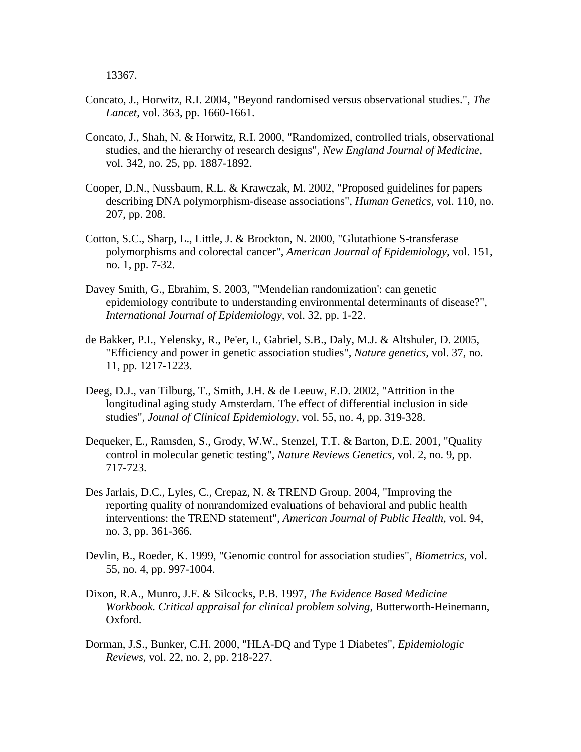13367.

- Concato, J., Horwitz, R.I. 2004, "Beyond randomised versus observational studies.", *The Lancet,* vol. 363, pp. 1660-1661.
- Concato, J., Shah, N. & Horwitz, R.I. 2000, "Randomized, controlled trials, observational studies, and the hierarchy of research designs", *New England Journal of Medicine,*  vol. 342, no. 25, pp. 1887-1892.
- Cooper, D.N., Nussbaum, R.L. & Krawczak, M. 2002, "Proposed guidelines for papers describing DNA polymorphism-disease associations", *Human Genetics,* vol. 110, no. 207, pp. 208.
- Cotton, S.C., Sharp, L., Little, J. & Brockton, N. 2000, "Glutathione S-transferase polymorphisms and colorectal cancer", *American Journal of Epidemiology,* vol. 151, no. 1, pp. 7-32.
- Davey Smith, G., Ebrahim, S. 2003, "'Mendelian randomization': can genetic epidemiology contribute to understanding environmental determinants of disease?", *International Journal of Epidemiology,* vol. 32, pp. 1-22.
- de Bakker, P.I., Yelensky, R., Pe'er, I., Gabriel, S.B., Daly, M.J. & Altshuler, D. 2005, "Efficiency and power in genetic association studies", *Nature genetics,* vol. 37, no. 11, pp. 1217-1223.
- Deeg, D.J., van Tilburg, T., Smith, J.H. & de Leeuw, E.D. 2002, "Attrition in the longitudinal aging study Amsterdam. The effect of differential inclusion in side studies", *Jounal of Clinical Epidemiology,* vol. 55, no. 4, pp. 319-328.
- Dequeker, E., Ramsden, S., Grody, W.W., Stenzel, T.T. & Barton, D.E. 2001, "Quality control in molecular genetic testing", *Nature Reviews Genetics,* vol. 2, no. 9, pp. 717-723.
- Des Jarlais, D.C., Lyles, C., Crepaz, N. & TREND Group. 2004, "Improving the reporting quality of nonrandomized evaluations of behavioral and public health interventions: the TREND statement", *American Journal of Public Health,* vol. 94, no. 3, pp. 361-366.
- Devlin, B., Roeder, K. 1999, "Genomic control for association studies", *Biometrics,* vol. 55, no. 4, pp. 997-1004.
- Dixon, R.A., Munro, J.F. & Silcocks, P.B. 1997, *The Evidence Based Medicine Workbook. Critical appraisal for clinical problem solving*, Butterworth-Heinemann, Oxford.
- Dorman, J.S., Bunker, C.H. 2000, "HLA-DQ and Type 1 Diabetes", *Epidemiologic Reviews,* vol. 22, no. 2, pp. 218-227.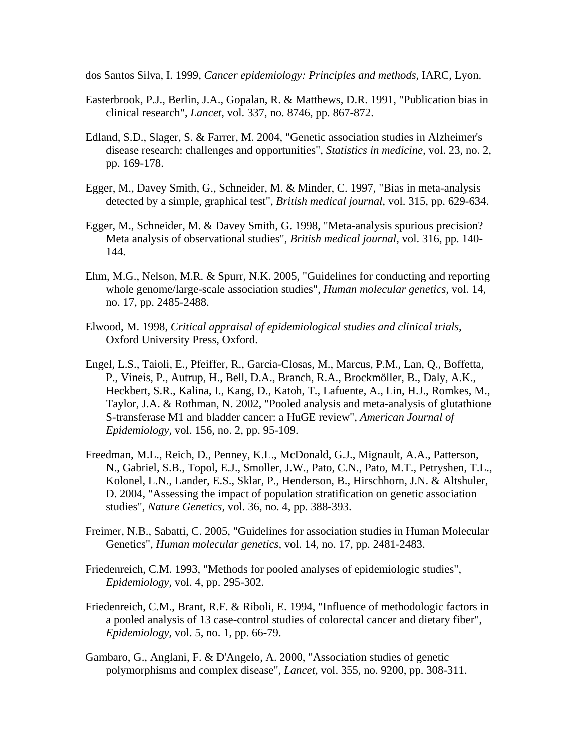dos Santos Silva, I. 1999, *Cancer epidemiology: Principles and methods*, IARC, Lyon.

- Easterbrook, P.J., Berlin, J.A., Gopalan, R. & Matthews, D.R. 1991, "Publication bias in clinical research", *Lancet,* vol. 337, no. 8746, pp. 867-872.
- Edland, S.D., Slager, S. & Farrer, M. 2004, "Genetic association studies in Alzheimer's disease research: challenges and opportunities", *Statistics in medicine,* vol. 23, no. 2, pp. 169-178.
- Egger, M., Davey Smith, G., Schneider, M. & Minder, C. 1997, "Bias in meta-analysis detected by a simple, graphical test", *British medical journal,* vol. 315, pp. 629-634.
- Egger, M., Schneider, M. & Davey Smith, G. 1998, "Meta-analysis spurious precision? Meta analysis of observational studies", *British medical journal,* vol. 316, pp. 140- 144.
- Ehm, M.G., Nelson, M.R. & Spurr, N.K. 2005, "Guidelines for conducting and reporting whole genome/large-scale association studies", *Human molecular genetics,* vol. 14, no. 17, pp. 2485-2488.
- Elwood, M. 1998, *Critical appraisal of epidemiological studies and clinical trials*, Oxford University Press, Oxford.
- Engel, L.S., Taioli, E., Pfeiffer, R., Garcia-Closas, M., Marcus, P.M., Lan, Q., Boffetta, P., Vineis, P., Autrup, H., Bell, D.A., Branch, R.A., Brockmöller, B., Daly, A.K., Heckbert, S.R., Kalina, I., Kang, D., Katoh, T., Lafuente, A., Lin, H.J., Romkes, M., Taylor, J.A. & Rothman, N. 2002, "Pooled analysis and meta-analysis of glutathione S-transferase M1 and bladder cancer: a HuGE review", *American Journal of Epidemiology,* vol. 156, no. 2, pp. 95-109.
- Freedman, M.L., Reich, D., Penney, K.L., McDonald, G.J., Mignault, A.A., Patterson, N., Gabriel, S.B., Topol, E.J., Smoller, J.W., Pato, C.N., Pato, M.T., Petryshen, T.L., Kolonel, L.N., Lander, E.S., Sklar, P., Henderson, B., Hirschhorn, J.N. & Altshuler, D. 2004, "Assessing the impact of population stratification on genetic association studies", *Nature Genetics,* vol. 36, no. 4, pp. 388-393.
- Freimer, N.B., Sabatti, C. 2005, "Guidelines for association studies in Human Molecular Genetics", *Human molecular genetics,* vol. 14, no. 17, pp. 2481-2483.
- Friedenreich, C.M. 1993, "Methods for pooled analyses of epidemiologic studies", *Epidemiology,* vol. 4, pp. 295-302.
- Friedenreich, C.M., Brant, R.F. & Riboli, E. 1994, "Influence of methodologic factors in a pooled analysis of 13 case-control studies of colorectal cancer and dietary fiber", *Epidemiology,* vol. 5, no. 1, pp. 66-79.
- Gambaro, G., Anglani, F. & D'Angelo, A. 2000, "Association studies of genetic polymorphisms and complex disease", *Lancet,* vol. 355, no. 9200, pp. 308-311.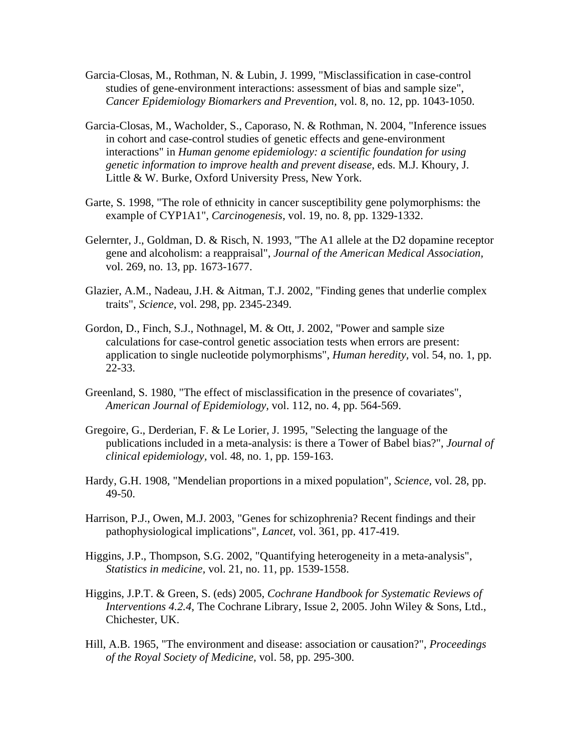- Garcia-Closas, M., Rothman, N. & Lubin, J. 1999, "Misclassification in case-control studies of gene-environment interactions: assessment of bias and sample size", *Cancer Epidemiology Biomarkers and Prevention,* vol. 8, no. 12, pp. 1043-1050.
- Garcia-Closas, M., Wacholder, S., Caporaso, N. & Rothman, N. 2004, "Inference issues in cohort and case-control studies of genetic effects and gene-environment interactions" in *Human genome epidemiology: a scientific foundation for using genetic information to improve health and prevent disease*, eds. M.J. Khoury, J. Little & W. Burke, Oxford University Press, New York.
- Garte, S. 1998, "The role of ethnicity in cancer susceptibility gene polymorphisms: the example of CYP1A1", *Carcinogenesis,* vol. 19, no. 8, pp. 1329-1332.
- Gelernter, J., Goldman, D. & Risch, N. 1993, "The A1 allele at the D2 dopamine receptor gene and alcoholism: a reappraisal", *Journal of the American Medical Association,*  vol. 269, no. 13, pp. 1673-1677.
- Glazier, A.M., Nadeau, J.H. & Aitman, T.J. 2002, "Finding genes that underlie complex traits", *Science,* vol. 298, pp. 2345-2349.
- Gordon, D., Finch, S.J., Nothnagel, M. & Ott, J. 2002, "Power and sample size calculations for case-control genetic association tests when errors are present: application to single nucleotide polymorphisms", *Human heredity,* vol. 54, no. 1, pp. 22-33.
- Greenland, S. 1980, "The effect of misclassification in the presence of covariates", *American Journal of Epidemiology,* vol. 112, no. 4, pp. 564-569.
- Gregoire, G., Derderian, F. & Le Lorier, J. 1995, "Selecting the language of the publications included in a meta-analysis: is there a Tower of Babel bias?", *Journal of clinical epidemiology,* vol. 48, no. 1, pp. 159-163.
- Hardy, G.H. 1908, "Mendelian proportions in a mixed population", *Science,* vol. 28, pp. 49-50.
- Harrison, P.J., Owen, M.J. 2003, "Genes for schizophrenia? Recent findings and their pathophysiological implications", *Lancet,* vol. 361, pp. 417-419.
- Higgins, J.P., Thompson, S.G. 2002, "Quantifying heterogeneity in a meta-analysis", *Statistics in medicine,* vol. 21, no. 11, pp. 1539-1558.
- Higgins, J.P.T. & Green, S. (eds) 2005, *Cochrane Handbook for Systematic Reviews of Interventions 4.2.4*, The Cochrane Library, Issue 2, 2005. John Wiley & Sons, Ltd., Chichester, UK.
- Hill, A.B. 1965, "The environment and disease: association or causation?", *Proceedings of the Royal Society of Medicine,* vol. 58, pp. 295-300.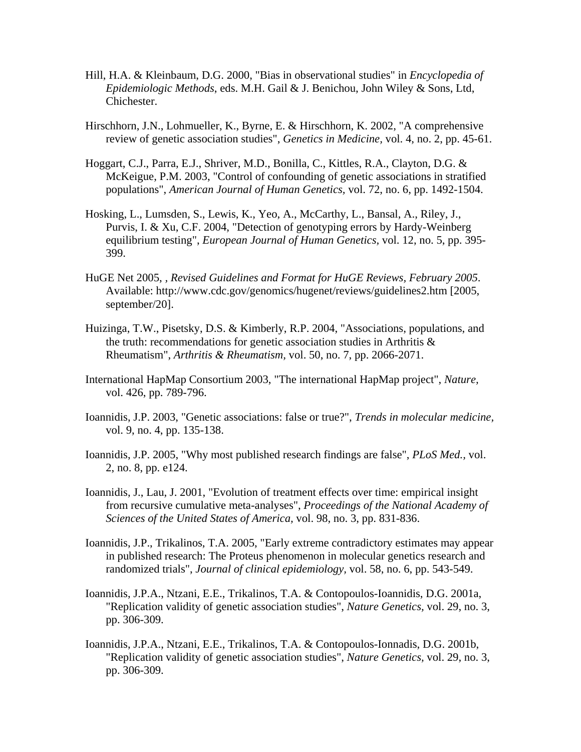- Hill, H.A. & Kleinbaum, D.G. 2000, "Bias in observational studies" in *Encyclopedia of Epidemiologic Methods*, eds. M.H. Gail & J. Benichou, John Wiley & Sons, Ltd, Chichester.
- Hirschhorn, J.N., Lohmueller, K., Byrne, E. & Hirschhorn, K. 2002, "A comprehensive review of genetic association studies", *Genetics in Medicine,* vol. 4, no. 2, pp. 45-61.
- Hoggart, C.J., Parra, E.J., Shriver, M.D., Bonilla, C., Kittles, R.A., Clayton, D.G. & McKeigue, P.M. 2003, "Control of confounding of genetic associations in stratified populations", *American Journal of Human Genetics,* vol. 72, no. 6, pp. 1492-1504.
- Hosking, L., Lumsden, S., Lewis, K., Yeo, A., McCarthy, L., Bansal, A., Riley, J., Purvis, I. & Xu, C.F. 2004, "Detection of genotyping errors by Hardy-Weinberg equilibrium testing", *European Journal of Human Genetics,* vol. 12, no. 5, pp. 395- 399.
- HuGE Net 2005, *, Revised Guidelines and Format for HuGE Reviews, February 2005*. Available: http://www.cdc.gov/genomics/hugenet/reviews/guidelines2.htm [2005, september/20].
- Huizinga, T.W., Pisetsky, D.S. & Kimberly, R.P. 2004, "Associations, populations, and the truth: recommendations for genetic association studies in Arthritis & Rheumatism", *Arthritis & Rheumatism,* vol. 50, no. 7, pp. 2066-2071.
- International HapMap Consortium 2003, "The international HapMap project", *Nature,*  vol. 426, pp. 789-796.
- Ioannidis, J.P. 2003, "Genetic associations: false or true?", *Trends in molecular medicine,*  vol. 9, no. 4, pp. 135-138.
- Ioannidis, J.P. 2005, "Why most published research findings are false", *PLoS Med.,* vol. 2, no. 8, pp. e124.
- Ioannidis, J., Lau, J. 2001, "Evolution of treatment effects over time: empirical insight from recursive cumulative meta-analyses", *Proceedings of the National Academy of Sciences of the United States of America,* vol. 98, no. 3, pp. 831-836.
- Ioannidis, J.P., Trikalinos, T.A. 2005, "Early extreme contradictory estimates may appear in published research: The Proteus phenomenon in molecular genetics research and randomized trials", *Journal of clinical epidemiology,* vol. 58, no. 6, pp. 543-549.
- Ioannidis, J.P.A., Ntzani, E.E., Trikalinos, T.A. & Contopoulos-Ioannidis, D.G. 2001a, "Replication validity of genetic association studies", *Nature Genetics,* vol. 29, no. 3, pp. 306-309.
- Ioannidis, J.P.A., Ntzani, E.E., Trikalinos, T.A. & Contopoulos-Ionnadis, D.G. 2001b, "Replication validity of genetic association studies", *Nature Genetics,* vol. 29, no. 3, pp. 306-309.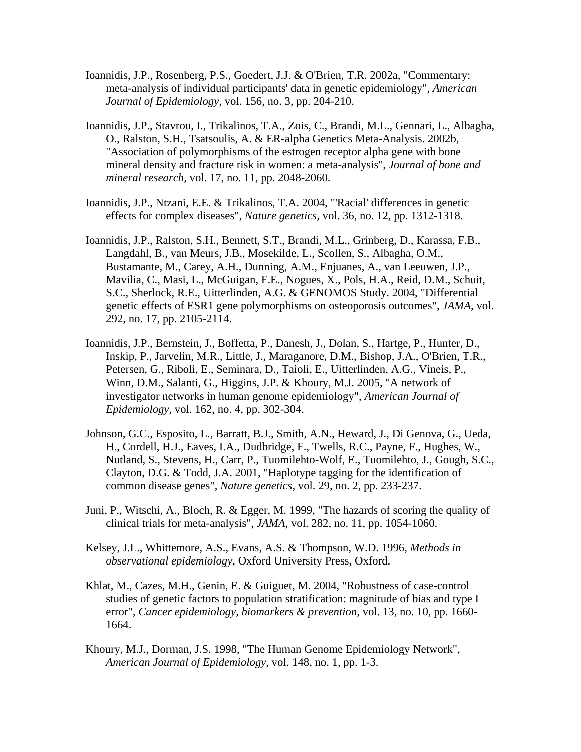- Ioannidis, J.P., Rosenberg, P.S., Goedert, J.J. & O'Brien, T.R. 2002a, "Commentary: meta-analysis of individual participants' data in genetic epidemiology", *American Journal of Epidemiology,* vol. 156, no. 3, pp. 204-210.
- Ioannidis, J.P., Stavrou, I., Trikalinos, T.A., Zois, C., Brandi, M.L., Gennari, L., Albagha, O., Ralston, S.H., Tsatsoulis, A. & ER-alpha Genetics Meta-Analysis. 2002b, "Association of polymorphisms of the estrogen receptor alpha gene with bone mineral density and fracture risk in women: a meta-analysis", *Journal of bone and mineral research,* vol. 17, no. 11, pp. 2048-2060.
- Ioannidis, J.P., Ntzani, E.E. & Trikalinos, T.A. 2004, "'Racial' differences in genetic effects for complex diseases", *Nature genetics,* vol. 36, no. 12, pp. 1312-1318.
- Ioannidis, J.P., Ralston, S.H., Bennett, S.T., Brandi, M.L., Grinberg, D., Karassa, F.B., Langdahl, B., van Meurs, J.B., Mosekilde, L., Scollen, S., Albagha, O.M., Bustamante, M., Carey, A.H., Dunning, A.M., Enjuanes, A., van Leeuwen, J.P., Mavilia, C., Masi, L., McGuigan, F.E., Nogues, X., Pols, H.A., Reid, D.M., Schuit, S.C., Sherlock, R.E., Uitterlinden, A.G. & GENOMOS Study. 2004, "Differential genetic effects of ESR1 gene polymorphisms on osteoporosis outcomes", *JAMA,* vol. 292, no. 17, pp. 2105-2114.
- Ioannidis, J.P., Bernstein, J., Boffetta, P., Danesh, J., Dolan, S., Hartge, P., Hunter, D., Inskip, P., Jarvelin, M.R., Little, J., Maraganore, D.M., Bishop, J.A., O'Brien, T.R., Petersen, G., Riboli, E., Seminara, D., Taioli, E., Uitterlinden, A.G., Vineis, P., Winn, D.M., Salanti, G., Higgins, J.P. & Khoury, M.J. 2005, "A network of investigator networks in human genome epidemiology", *American Journal of Epidemiology,* vol. 162, no. 4, pp. 302-304.
- Johnson, G.C., Esposito, L., Barratt, B.J., Smith, A.N., Heward, J., Di Genova, G., Ueda, H., Cordell, H.J., Eaves, I.A., Dudbridge, F., Twells, R.C., Payne, F., Hughes, W., Nutland, S., Stevens, H., Carr, P., Tuomilehto-Wolf, E., Tuomilehto, J., Gough, S.C., Clayton, D.G. & Todd, J.A. 2001, "Haplotype tagging for the identification of common disease genes", *Nature genetics,* vol. 29, no. 2, pp. 233-237.
- Juni, P., Witschi, A., Bloch, R. & Egger, M. 1999, "The hazards of scoring the quality of clinical trials for meta-analysis", *JAMA,* vol. 282, no. 11, pp. 1054-1060.
- Kelsey, J.L., Whittemore, A.S., Evans, A.S. & Thompson, W.D. 1996, *Methods in observational epidemiology*, Oxford University Press, Oxford.
- Khlat, M., Cazes, M.H., Genin, E. & Guiguet, M. 2004, "Robustness of case-control studies of genetic factors to population stratification: magnitude of bias and type I error", *Cancer epidemiology, biomarkers & prevention,* vol. 13, no. 10, pp. 1660- 1664.
- Khoury, M.J., Dorman, J.S. 1998, "The Human Genome Epidemiology Network", *American Journal of Epidemiology,* vol. 148, no. 1, pp. 1-3.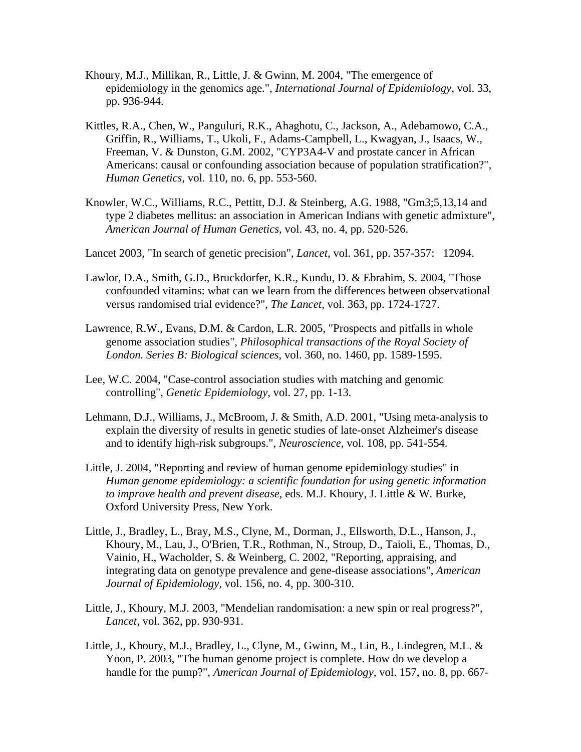- Khoury, M.J., Millikan, R., Little, J. & Gwinn, M. 2004, "The emergence of epidemiology in the genomics age.", *International Journal of Epidemiology,* vol. 33, pp. 936-944.
- Kittles, R.A., Chen, W., Panguluri, R.K., Ahaghotu, C., Jackson, A., Adebamowo, C.A., Griffin, R., Williams, T., Ukoli, F., Adams-Campbell, L., Kwagyan, J., Isaacs, W., Freeman, V. & Dunston, G.M. 2002, "CYP3A4-V and prostate cancer in African Americans: causal or confounding association because of population stratification?", *Human Genetics,* vol. 110, no. 6, pp. 553-560.
- Knowler, W.C., Williams, R.C., Pettitt, D.J. & Steinberg, A.G. 1988, "Gm3;5,13,14 and type 2 diabetes mellitus: an association in American Indians with genetic admixture", *American Journal of Human Genetics,* vol. 43, no. 4, pp. 520-526.
- Lancet 2003, "In search of genetic precision", *Lancet,* vol. 361, pp. 357-357: 12094.
- Lawlor, D.A., Smith, G.D., Bruckdorfer, K.R., Kundu, D. & Ebrahim, S. 2004, "Those confounded vitamins: what can we learn from the differences between observational versus randomised trial evidence?", *The Lancet,* vol. 363, pp. 1724-1727.
- Lawrence, R.W., Evans, D.M. & Cardon, L.R. 2005, "Prospects and pitfalls in whole genome association studies", *Philosophical transactions of the Royal Society of London. Series B: Biological sciences,* vol. 360, no. 1460, pp. 1589-1595.
- Lee, W.C. 2004, "Case-control association studies with matching and genomic controlling", *Genetic Epidemiology,* vol. 27, pp. 1-13.
- Lehmann, D.J., Williams, J., McBroom, J. & Smith, A.D. 2001, "Using meta-analysis to explain the diversity of results in genetic studies of late-onset Alzheimer's disease and to identify high-risk subgroups.", *Neuroscience,* vol. 108, pp. 541-554.
- Little, J. 2004, "Reporting and review of human genome epidemiology studies" in *Human genome epidemiology: a scientific foundation for using genetic information to improve health and prevent disease*, eds. M.J. Khoury, J. Little & W. Burke, Oxford University Press, New York.
- Little, J., Bradley, L., Bray, M.S., Clyne, M., Dorman, J., Ellsworth, D.L., Hanson, J., Khoury, M., Lau, J., O'Brien, T.R., Rothman, N., Stroup, D., Taioli, E., Thomas, D., Vainio, H., Wacholder, S. & Weinberg, C. 2002, "Reporting, appraising, and integrating data on genotype prevalence and gene-disease associations", *American Journal of Epidemiology,* vol. 156, no. 4, pp. 300-310.
- Little, J., Khoury, M.J. 2003, "Mendelian randomisation: a new spin or real progress?", *Lancet,* vol. 362, pp. 930-931.
- Little, J., Khoury, M.J., Bradley, L., Clyne, M., Gwinn, M., Lin, B., Lindegren, M.L. & Yoon, P. 2003, "The human genome project is complete. How do we develop a handle for the pump?", *American Journal of Epidemiology,* vol. 157, no. 8, pp. 667-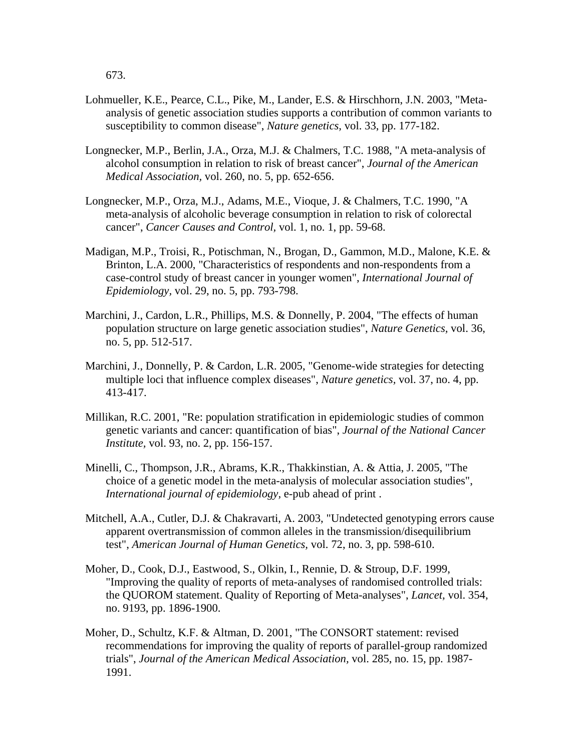673.

- Lohmueller, K.E., Pearce, C.L., Pike, M., Lander, E.S. & Hirschhorn, J.N. 2003, "Metaanalysis of genetic association studies supports a contribution of common variants to susceptibility to common disease", *Nature genetics,* vol. 33, pp. 177-182.
- Longnecker, M.P., Berlin, J.A., Orza, M.J. & Chalmers, T.C. 1988, "A meta-analysis of alcohol consumption in relation to risk of breast cancer", *Journal of the American Medical Association,* vol. 260, no. 5, pp. 652-656.
- Longnecker, M.P., Orza, M.J., Adams, M.E., Vioque, J. & Chalmers, T.C. 1990, "A meta-analysis of alcoholic beverage consumption in relation to risk of colorectal cancer", *Cancer Causes and Control,* vol. 1, no. 1, pp. 59-68.
- Madigan, M.P., Troisi, R., Potischman, N., Brogan, D., Gammon, M.D., Malone, K.E. & Brinton, L.A. 2000, "Characteristics of respondents and non-respondents from a case-control study of breast cancer in younger women", *International Journal of Epidemiology,* vol. 29, no. 5, pp. 793-798.
- Marchini, J., Cardon, L.R., Phillips, M.S. & Donnelly, P. 2004, "The effects of human population structure on large genetic association studies", *Nature Genetics,* vol. 36, no. 5, pp. 512-517.
- Marchini, J., Donnelly, P. & Cardon, L.R. 2005, "Genome-wide strategies for detecting multiple loci that influence complex diseases", *Nature genetics,* vol. 37, no. 4, pp. 413-417.
- Millikan, R.C. 2001, "Re: population stratification in epidemiologic studies of common genetic variants and cancer: quantification of bias", *Journal of the National Cancer Institute,* vol. 93, no. 2, pp. 156-157.
- Minelli, C., Thompson, J.R., Abrams, K.R., Thakkinstian, A. & Attia, J. 2005, "The choice of a genetic model in the meta-analysis of molecular association studies", *International journal of epidemiology,* e-pub ahead of print .
- Mitchell, A.A., Cutler, D.J. & Chakravarti, A. 2003, "Undetected genotyping errors cause apparent overtransmission of common alleles in the transmission/disequilibrium test", *American Journal of Human Genetics,* vol. 72, no. 3, pp. 598-610.
- Moher, D., Cook, D.J., Eastwood, S., Olkin, I., Rennie, D. & Stroup, D.F. 1999, "Improving the quality of reports of meta-analyses of randomised controlled trials: the QUOROM statement. Quality of Reporting of Meta-analyses", *Lancet,* vol. 354, no. 9193, pp. 1896-1900.
- Moher, D., Schultz, K.F. & Altman, D. 2001, "The CONSORT statement: revised recommendations for improving the quality of reports of parallel-group randomized trials", *Journal of the American Medical Association,* vol. 285, no. 15, pp. 1987- 1991.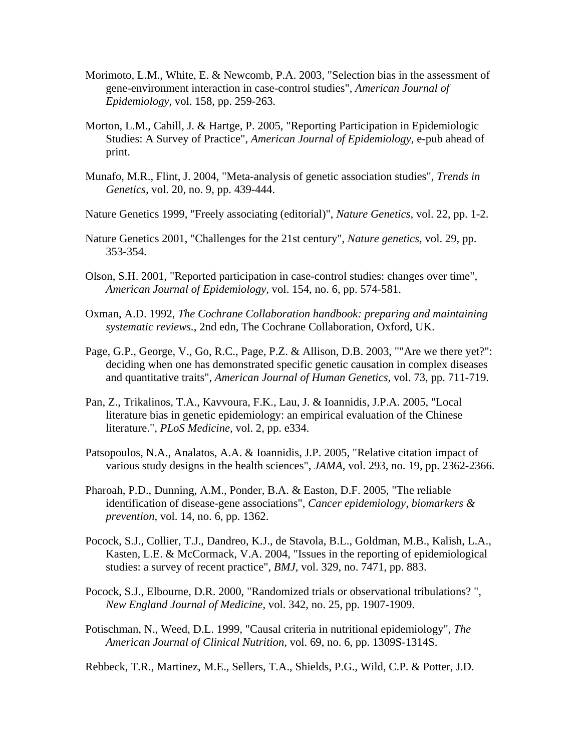- Morimoto, L.M., White, E. & Newcomb, P.A. 2003, "Selection bias in the assessment of gene-environment interaction in case-control studies", *American Journal of Epidemiology,* vol. 158, pp. 259-263.
- Morton, L.M., Cahill, J. & Hartge, P. 2005, "Reporting Participation in Epidemiologic Studies: A Survey of Practice", *American Journal of Epidemiology,* e-pub ahead of print.
- Munafo, M.R., Flint, J. 2004, "Meta-analysis of genetic association studies", *Trends in Genetics,* vol. 20, no. 9, pp. 439-444.
- Nature Genetics 1999, "Freely associating (editorial)", *Nature Genetics,* vol. 22, pp. 1-2.
- Nature Genetics 2001, "Challenges for the 21st century", *Nature genetics,* vol. 29, pp. 353-354.
- Olson, S.H. 2001, "Reported participation in case-control studies: changes over time", *American Journal of Epidemiology,* vol. 154, no. 6, pp. 574-581.
- Oxman, A.D. 1992, *The Cochrane Collaboration handbook: preparing and maintaining systematic reviews.*, 2nd edn, The Cochrane Collaboration, Oxford, UK.
- Page, G.P., George, V., Go, R.C., Page, P.Z. & Allison, D.B. 2003, ""Are we there yet?": deciding when one has demonstrated specific genetic causation in complex diseases and quantitative traits", *American Journal of Human Genetics,* vol. 73, pp. 711-719.
- Pan, Z., Trikalinos, T.A., Kavvoura, F.K., Lau, J. & Ioannidis, J.P.A. 2005, "Local literature bias in genetic epidemiology: an empirical evaluation of the Chinese literature.", *PLoS Medicine,* vol. 2, pp. e334.
- Patsopoulos, N.A., Analatos, A.A. & Ioannidis, J.P. 2005, "Relative citation impact of various study designs in the health sciences", *JAMA,* vol. 293, no. 19, pp. 2362-2366.
- Pharoah, P.D., Dunning, A.M., Ponder, B.A. & Easton, D.F. 2005, "The reliable identification of disease-gene associations", *Cancer epidemiology, biomarkers & prevention,* vol. 14, no. 6, pp. 1362.
- Pocock, S.J., Collier, T.J., Dandreo, K.J., de Stavola, B.L., Goldman, M.B., Kalish, L.A., Kasten, L.E. & McCormack, V.A. 2004, "Issues in the reporting of epidemiological studies: a survey of recent practice", *BMJ,* vol. 329, no. 7471, pp. 883.
- Pocock, S.J., Elbourne, D.R. 2000, "Randomized trials or observational tribulations? ", *New England Journal of Medicine,* vol. 342, no. 25, pp. 1907-1909.
- Potischman, N., Weed, D.L. 1999, "Causal criteria in nutritional epidemiology", *The American Journal of Clinical Nutrition,* vol. 69, no. 6, pp. 1309S-1314S.

Rebbeck, T.R., Martinez, M.E., Sellers, T.A., Shields, P.G., Wild, C.P. & Potter, J.D.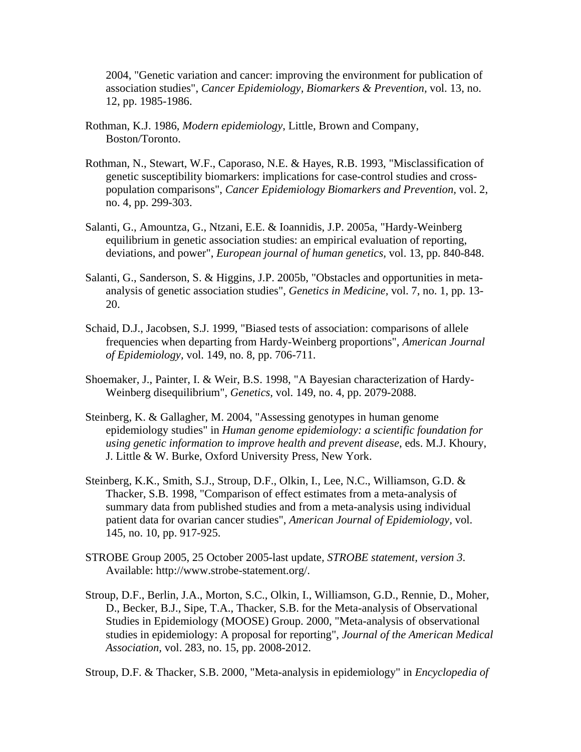2004, "Genetic variation and cancer: improving the environment for publication of association studies", *Cancer Epidemiology, Biomarkers & Prevention,* vol. 13, no. 12, pp. 1985-1986.

- Rothman, K.J. 1986, *Modern epidemiology*, Little, Brown and Company, Boston/Toronto.
- Rothman, N., Stewart, W.F., Caporaso, N.E. & Hayes, R.B. 1993, "Misclassification of genetic susceptibility biomarkers: implications for case-control studies and crosspopulation comparisons", *Cancer Epidemiology Biomarkers and Prevention,* vol. 2, no. 4, pp. 299-303.
- Salanti, G., Amountza, G., Ntzani, E.E. & Ioannidis, J.P. 2005a, "Hardy-Weinberg equilibrium in genetic association studies: an empirical evaluation of reporting, deviations, and power", *European journal of human genetics,* vol. 13, pp. 840-848.
- Salanti, G., Sanderson, S. & Higgins, J.P. 2005b, "Obstacles and opportunities in metaanalysis of genetic association studies", *Genetics in Medicine,* vol. 7, no. 1, pp. 13- 20.
- Schaid, D.J., Jacobsen, S.J. 1999, "Biased tests of association: comparisons of allele frequencies when departing from Hardy-Weinberg proportions", *American Journal of Epidemiology,* vol. 149, no. 8, pp. 706-711.
- Shoemaker, J., Painter, I. & Weir, B.S. 1998, "A Bayesian characterization of Hardy-Weinberg disequilibrium", *Genetics,* vol. 149, no. 4, pp. 2079-2088.
- Steinberg, K. & Gallagher, M. 2004, "Assessing genotypes in human genome epidemiology studies" in *Human genome epidemiology: a scientific foundation for using genetic information to improve health and prevent disease*, eds. M.J. Khoury, J. Little & W. Burke, Oxford University Press, New York.
- Steinberg, K.K., Smith, S.J., Stroup, D.F., Olkin, I., Lee, N.C., Williamson, G.D. & Thacker, S.B. 1998, "Comparison of effect estimates from a meta-analysis of summary data from published studies and from a meta-analysis using individual patient data for ovarian cancer studies", *American Journal of Epidemiology,* vol. 145, no. 10, pp. 917-925.
- STROBE Group 2005, 25 October 2005-last update*, STROBE statement, version 3*. Available: http://www.strobe-statement.org/.
- Stroup, D.F., Berlin, J.A., Morton, S.C., Olkin, I., Williamson, G.D., Rennie, D., Moher, D., Becker, B.J., Sipe, T.A., Thacker, S.B. for the Meta-analysis of Observational Studies in Epidemiology (MOOSE) Group. 2000, "Meta-analysis of observational studies in epidemiology: A proposal for reporting", *Journal of the American Medical Association,* vol. 283, no. 15, pp. 2008-2012.

Stroup, D.F. & Thacker, S.B. 2000, "Meta-analysis in epidemiology" in *Encyclopedia of*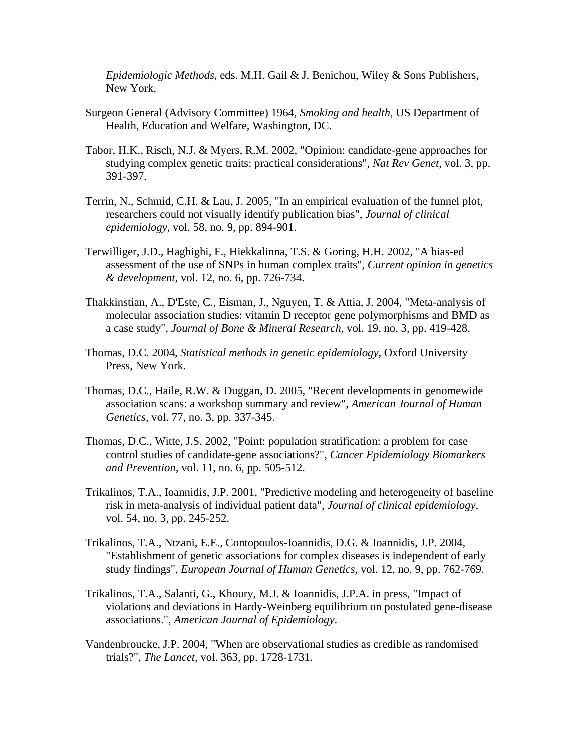*Epidemiologic Methods*, eds. M.H. Gail & J. Benichou, Wiley & Sons Publishers, New York.

- Surgeon General (Advisory Committee) 1964, *Smoking and health*, US Department of Health, Education and Welfare, Washington, DC.
- Tabor, H.K., Risch, N.J. & Myers, R.M. 2002, "Opinion: candidate-gene approaches for studying complex genetic traits: practical considerations", *Nat Rev Genet,* vol. 3, pp. 391-397.
- Terrin, N., Schmid, C.H. & Lau, J. 2005, "In an empirical evaluation of the funnel plot, researchers could not visually identify publication bias", *Journal of clinical epidemiology,* vol. 58, no. 9, pp. 894-901.
- Terwilliger, J.D., Haghighi, F., Hiekkalinna, T.S. & Goring, H.H. 2002, "A bias-ed assessment of the use of SNPs in human complex traits", *Current opinion in genetics & development,* vol. 12, no. 6, pp. 726-734.
- Thakkinstian, A., D'Este, C., Eisman, J., Nguyen, T. & Attia, J. 2004, "Meta-analysis of molecular association studies: vitamin D receptor gene polymorphisms and BMD as a case study", *Journal of Bone & Mineral Research,* vol. 19, no. 3, pp. 419-428.
- Thomas, D.C. 2004, *Statistical methods in genetic epidemiology*, Oxford University Press, New York.
- Thomas, D.C., Haile, R.W. & Duggan, D. 2005, "Recent developments in genomewide association scans: a workshop summary and review", *American Journal of Human Genetics,* vol. 77, no. 3, pp. 337-345.
- Thomas, D.C., Witte, J.S. 2002, "Point: population stratification: a problem for case control studies of candidate-gene associations?", *Cancer Epidemiology Biomarkers and Prevention,* vol. 11, no. 6, pp. 505-512.
- Trikalinos, T.A., Ioannidis, J.P. 2001, "Predictive modeling and heterogeneity of baseline risk in meta-analysis of individual patient data", *Journal of clinical epidemiology,*  vol. 54, no. 3, pp. 245-252.
- Trikalinos, T.A., Ntzani, E.E., Contopoulos-Ioannidis, D.G. & Ioannidis, J.P. 2004, "Establishment of genetic associations for complex diseases is independent of early study findings", *European Journal of Human Genetics,* vol. 12, no. 9, pp. 762-769.
- Trikalinos, T.A., Salanti, G., Khoury, M.J. & Ioannidis, J.P.A. in press, "Impact of violations and deviations in Hardy-Weinberg equilibrium on postulated gene-disease associations.", *American Journal of Epidemiology*.
- Vandenbroucke, J.P. 2004, "When are observational studies as credible as randomised trials?", *The Lancet,* vol. 363, pp. 1728-1731.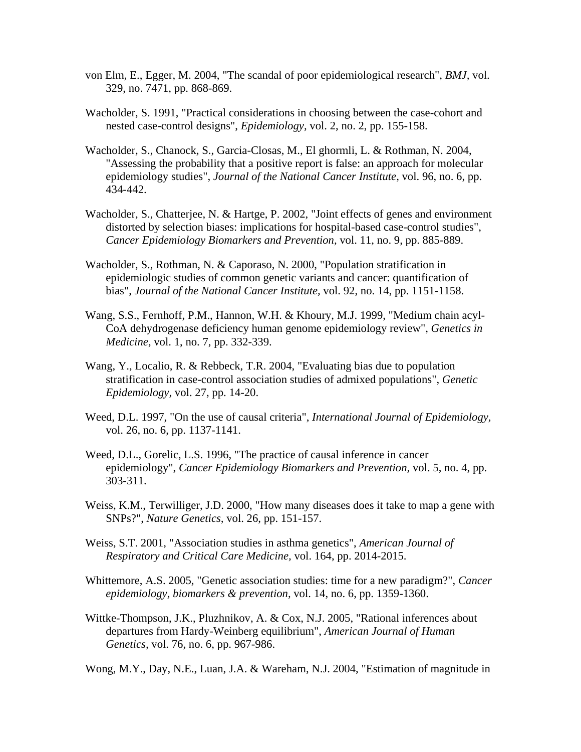- von Elm, E., Egger, M. 2004, "The scandal of poor epidemiological research", *BMJ,* vol. 329, no. 7471, pp. 868-869.
- Wacholder, S. 1991, "Practical considerations in choosing between the case-cohort and nested case-control designs", *Epidemiology,* vol. 2, no. 2, pp. 155-158.
- Wacholder, S., Chanock, S., Garcia-Closas, M., El ghormli, L. & Rothman, N. 2004, "Assessing the probability that a positive report is false: an approach for molecular epidemiology studies", *Journal of the National Cancer Institute,* vol. 96, no. 6, pp. 434-442.
- Wacholder, S., Chatterjee, N. & Hartge, P. 2002, "Joint effects of genes and environment distorted by selection biases: implications for hospital-based case-control studies", *Cancer Epidemiology Biomarkers and Prevention,* vol. 11, no. 9, pp. 885-889.
- Wacholder, S., Rothman, N. & Caporaso, N. 2000, "Population stratification in epidemiologic studies of common genetic variants and cancer: quantification of bias", *Journal of the National Cancer Institute,* vol. 92, no. 14, pp. 1151-1158.
- Wang, S.S., Fernhoff, P.M., Hannon, W.H. & Khoury, M.J. 1999, "Medium chain acyl-CoA dehydrogenase deficiency human genome epidemiology review", *Genetics in Medicine,* vol. 1, no. 7, pp. 332-339.
- Wang, Y., Localio, R. & Rebbeck, T.R. 2004, "Evaluating bias due to population stratification in case-control association studies of admixed populations", *Genetic Epidemiology,* vol. 27, pp. 14-20.
- Weed, D.L. 1997, "On the use of causal criteria", *International Journal of Epidemiology,*  vol. 26, no. 6, pp. 1137-1141.
- Weed, D.L., Gorelic, L.S. 1996, "The practice of causal inference in cancer epidemiology", *Cancer Epidemiology Biomarkers and Prevention,* vol. 5, no. 4, pp. 303-311.
- Weiss, K.M., Terwilliger, J.D. 2000, "How many diseases does it take to map a gene with SNPs?", *Nature Genetics,* vol. 26, pp. 151-157.
- Weiss, S.T. 2001, "Association studies in asthma genetics", *American Journal of Respiratory and Critical Care Medicine,* vol. 164, pp. 2014-2015.
- Whittemore, A.S. 2005, "Genetic association studies: time for a new paradigm?", *Cancer epidemiology, biomarkers & prevention,* vol. 14, no. 6, pp. 1359-1360.
- Wittke-Thompson, J.K., Pluzhnikov, A. & Cox, N.J. 2005, "Rational inferences about departures from Hardy-Weinberg equilibrium", *American Journal of Human Genetics,* vol. 76, no. 6, pp. 967-986.

Wong, M.Y., Day, N.E., Luan, J.A. & Wareham, N.J. 2004, "Estimation of magnitude in